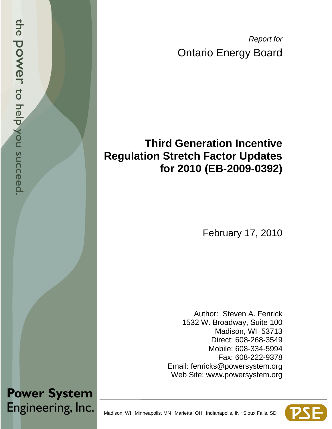*Report for* Ontario Energy Board

# **Third Generation Incentive Regulation Stretch Factor Updates for 2010 (EB-2009-0392)**

February 17, 2010

Author: Steven A. Fenrick 1532 W. Broadway, Suite 100 Madison, WI 53713 Direct: 608-268-3549 Mobile: 608-334-5994 Fax: 608-222-9378 Email: fenricks@powersystem.org Web Site: www.powersystem.org



Madison, WI Minneapolis, MN Marietta, OH Indianapolis, IN Sioux Falls, SD

the **power** to help you succeed

**Power System** 

Engineering, Inc.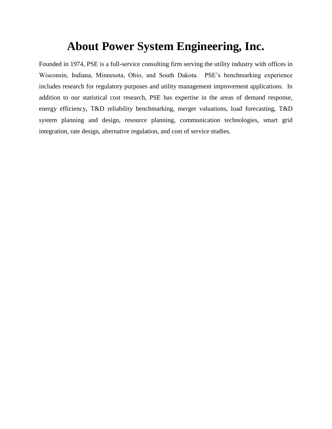# **About Power System Engineering, Inc.**

Founded in 1974, PSE is a full-service consulting firm serving the utility industry with offices in Wisconsin, Indiana, Minnesota, Ohio, and South Dakota. PSE's benchmarking experience includes research for regulatory purposes and utility management improvement applications. In addition to our statistical cost research, PSE has expertise in the areas of demand response, energy efficiency, T&D reliability benchmarking, merger valuations, load forecasting, T&D system planning and design, resource planning, communication technologies, smart grid integration, rate design, alternative regulation, and cost of service studies.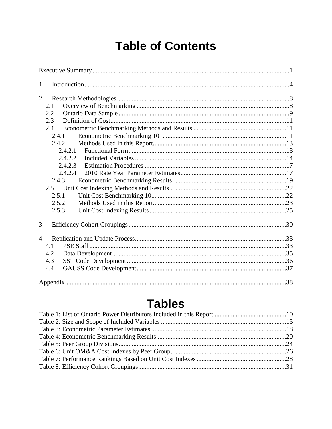# **Table of Contents**

| $\mathbf{1}$   |  |
|----------------|--|
| $\overline{2}$ |  |
| 2.1            |  |
| 2.2            |  |
| 2.3            |  |
| 2.4            |  |
| 2.4.1          |  |
| 2.4.2          |  |
| 2.4.2.1        |  |
| 2.4.2.2        |  |
| 2.4.2.3        |  |
| 2.4.2.4        |  |
| 2.4.3          |  |
| 2.5            |  |
| 2.5.1          |  |
| 2.5.2          |  |
| 2.5.3          |  |
| 3              |  |
| $\overline{4}$ |  |
| 4.1            |  |
| 4.2            |  |
| 4.3            |  |
| 4.4            |  |
|                |  |
|                |  |

# **Tables**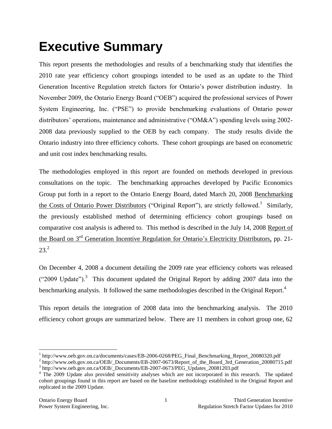# <span id="page-3-0"></span>**Executive Summary**

This report presents the methodologies and results of a benchmarking study that identifies the 2010 rate year efficiency cohort groupings intended to be used as an update to the Third Generation Incentive Regulation stretch factors for Ontario's power distribution industry. In November 2009, the Ontario Energy Board ("OEB") acquired the professional services of Power System Engineering, Inc. ("PSE") to provide benchmarking evaluations of Ontario power distributors' operations, maintenance and administrative ("OM&A") spending levels using 2002- 2008 data previously supplied to the OEB by each company. The study results divide the Ontario industry into three efficiency cohorts. These cohort groupings are based on econometric and unit cost index benchmarking results.

The methodologies employed in this report are founded on methods developed in previous consultations on the topic. The benchmarking approaches developed by Pacific Economics Group put forth in a report to the Ontario Energy Board, dated March 20, 2008 Benchmarking the Costs of Ontario Power Distributors ("Original Report"), are strictly followed.<sup>1</sup> Similarly, the previously established method of determining efficiency cohort groupings based on comparative cost analysis is adhered to. This method is described in the July 14, 2008 Report of the Board on 3<sup>rd</sup> Generation Incentive Regulation for Ontario's Electricity Distributors, pp. 21- $23.<sup>2</sup>$ 

On December 4, 2008 a document detailing the 2009 rate year efficiency cohorts was released ("2009 Update").<sup>3</sup> This document updated the Original Report by adding 2007 data into the benchmarking analysis. It followed the same methodologies described in the Original Report.<sup>4</sup>

This report details the integration of 2008 data into the benchmarking analysis. The 2010 efficiency cohort groups are summarized below. There are 11 members in cohort group one, 62

<sup>&</sup>lt;sup>1</sup> http://www.oeb.gov.on.ca/documents/cases/EB-2006-0268/PEG\_Final\_Benchmarking\_Report\_20080320.pdf

<sup>&</sup>lt;sup>2</sup> http://www.oeb.gov.on.ca/OEB/\_Documents/EB-2007-0673/Report\_of\_the\_Board\_3rd\_Generation\_20080715.pdf <sup>3</sup> http://www.oeb.gov.on.ca/OEB/\_Documents/EB-2007-0673/PEG\_Updates\_20081203.pdf

<sup>&</sup>lt;sup>4</sup> The 2009 Update also provided sensitivity analyses which are not incorporated in this research. The updated cohort groupings found in this report are based on the baseline methodology established in the Original Report and replicated in the 2009 Update.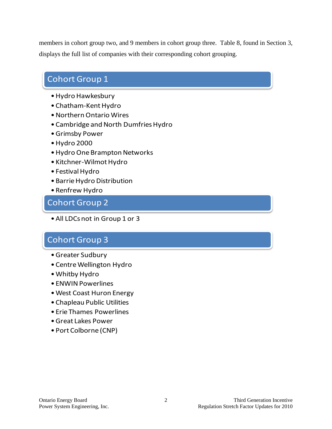members in cohort group two, and 9 members in cohort group three. Table 8, found in Section 3, displays the full list of companies with their corresponding cohort grouping.

## Cohort Group 1

- •Hydro Hawkesbury
- Chatham-Kent Hydro
- •Northern Ontario Wires
- •Cambridge and North Dumfries Hydro
- •Grimsby Power
- •Hydro 2000
- •Hydro One Brampton Networks
- Kitchner-Wilmot Hydro
- Festival Hydro
- •Barrie Hydro Distribution
- •Renfrew Hydro

## Cohort Group 2

• All LDCs not in Group 1 or 3

## Cohort Group 3

- •Greater Sudbury
- Centre Wellington Hydro
- •Whitby Hydro
- ENWIN Powerlines
- •West Coast Huron Energy
- •Chapleau Public Utilities
- Erie Thames Powerlines
- •Great Lakes Power
- Port Colborne (CNP)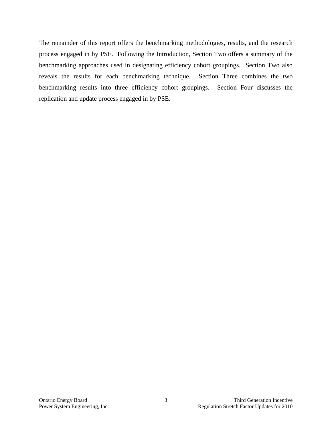The remainder of this report offers the benchmarking methodologies, results, and the research process engaged in by PSE. Following the Introduction, Section Two offers a summary of the benchmarking approaches used in designating efficiency cohort groupings. Section Two also reveals the results for each benchmarking technique. Section Three combines the two benchmarking results into three efficiency cohort groupings. Section Four discusses the replication and update process engaged in by PSE.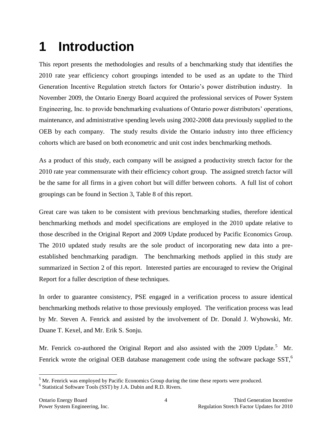# <span id="page-6-0"></span>**1 Introduction**

This report presents the methodologies and results of a benchmarking study that identifies the 2010 rate year efficiency cohort groupings intended to be used as an update to the Third Generation Incentive Regulation stretch factors for Ontario's power distribution industry. In November 2009, the Ontario Energy Board acquired the professional services of Power System Engineering, Inc. to provide benchmarking evaluations of Ontario power distributors' operations, maintenance, and administrative spending levels using 2002-2008 data previously supplied to the OEB by each company. The study results divide the Ontario industry into three efficiency cohorts which are based on both econometric and unit cost index benchmarking methods.

As a product of this study, each company will be assigned a productivity stretch factor for the 2010 rate year commensurate with their efficiency cohort group. The assigned stretch factor will be the same for all firms in a given cohort but will differ between cohorts. A full list of cohort groupings can be found in Section 3, Table 8 of this report.

Great care was taken to be consistent with previous benchmarking studies, therefore identical benchmarking methods and model specifications are employed in the 2010 update relative to those described in the Original Report and 2009 Update produced by Pacific Economics Group. The 2010 updated study results are the sole product of incorporating new data into a preestablished benchmarking paradigm. The benchmarking methods applied in this study are summarized in Section 2 of this report. Interested parties are encouraged to review the Original Report for a fuller description of these techniques.

In order to guarantee consistency, PSE engaged in a verification process to assure identical benchmarking methods relative to those previously employed. The verification process was lead by Mr. Steven A. Fenrick and assisted by the involvement of Dr. Donald J. Wyhowski, Mr. Duane T. Kexel, and Mr. Erik S. Sonju.

Mr. Fenrick co-authored the Original Report and also assisted with the 2009 Update.<sup>5</sup> Mr. Fenrick wrote the original OEB database management code using the software package SST,<sup>6</sup>

 $<sup>5</sup>$  Mr. Fenrick was employed by Pacific Economics Group during the time these reports were produced.</sup>

<sup>6</sup> Statistical Software Tools (SST) by J.A. Dubin and R.D. Rivers.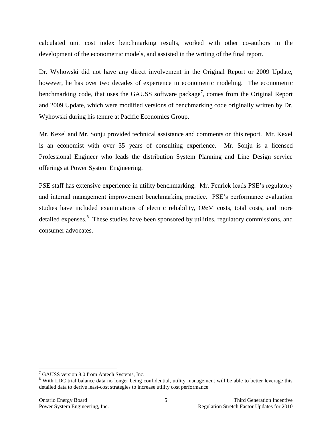calculated unit cost index benchmarking results, worked with other co-authors in the development of the econometric models, and assisted in the writing of the final report.

Dr. Wyhowski did not have any direct involvement in the Original Report or 2009 Update, however, he has over two decades of experience in econometric modeling. The econometric benchmarking code, that uses the GAUSS software package<sup>7</sup>, comes from the Original Report and 2009 Update, which were modified versions of benchmarking code originally written by Dr. Wyhowski during his tenure at Pacific Economics Group.

Mr. Kexel and Mr. Sonju provided technical assistance and comments on this report. Mr. Kexel is an economist with over 35 years of consulting experience. Mr. Sonju is a licensed Professional Engineer who leads the distribution System Planning and Line Design service offerings at Power System Engineering.

PSE staff has extensive experience in utility benchmarking. Mr. Fenrick leads PSE's regulatory and internal management improvement benchmarking practice. PSE's performance evaluation studies have included examinations of electric reliability, O&M costs, total costs, and more detailed expenses.<sup>8</sup> These studies have been sponsored by utilities, regulatory commissions, and consumer advocates.

 $7$  GAUSS version 8.0 from Aptech Systems, Inc.

<sup>&</sup>lt;sup>8</sup> With LDC trial balance data no longer being confidential, utility management will be able to better leverage this detailed data to derive least-cost strategies to increase utility cost performance.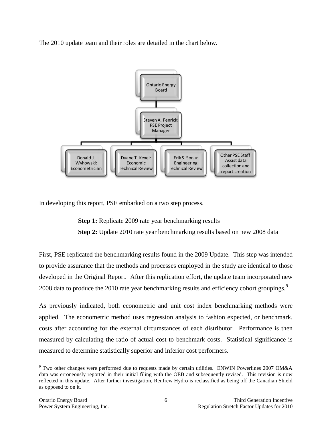The 2010 update team and their roles are detailed in the chart below.



In developing this report, PSE embarked on a two step process.

**Step 1:** Replicate 2009 rate year benchmarking results **Step 2:** Update 2010 rate year benchmarking results based on new 2008 data

First, PSE replicated the benchmarking results found in the 2009 Update. This step was intended to provide assurance that the methods and processes employed in the study are identical to those developed in the Original Report. After this replication effort, the update team incorporated new 2008 data to produce the 2010 rate year benchmarking results and efficiency cohort groupings.<sup>9</sup>

As previously indicated, both econometric and unit cost index benchmarking methods were applied. The econometric method uses regression analysis to fashion expected, or benchmark, costs after accounting for the external circumstances of each distributor. Performance is then measured by calculating the ratio of actual cost to benchmark costs. Statistical significance is measured to determine statistically superior and inferior cost performers.

<sup>9</sup> Two other changes were performed due to requests made by certain utilities. ENWIN Powerlines 2007 OM&A data was erroneously reported in their initial filing with the OEB and subsequently revised. This revision is now reflected in this update. After further investigation, Renfrew Hydro is reclassified as being off the Canadian Shield as opposed to on it.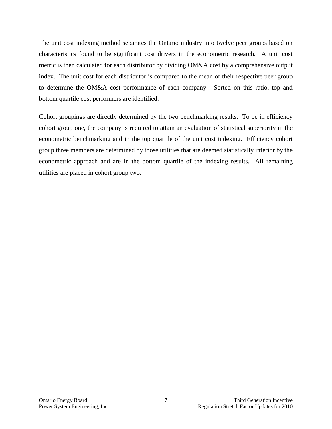The unit cost indexing method separates the Ontario industry into twelve peer groups based on characteristics found to be significant cost drivers in the econometric research. A unit cost metric is then calculated for each distributor by dividing OM&A cost by a comprehensive output index. The unit cost for each distributor is compared to the mean of their respective peer group to determine the OM&A cost performance of each company. Sorted on this ratio, top and bottom quartile cost performers are identified.

Cohort groupings are directly determined by the two benchmarking results. To be in efficiency cohort group one, the company is required to attain an evaluation of statistical superiority in the econometric benchmarking and in the top quartile of the unit cost indexing. Efficiency cohort group three members are determined by those utilities that are deemed statistically inferior by the econometric approach and are in the bottom quartile of the indexing results. All remaining utilities are placed in cohort group two.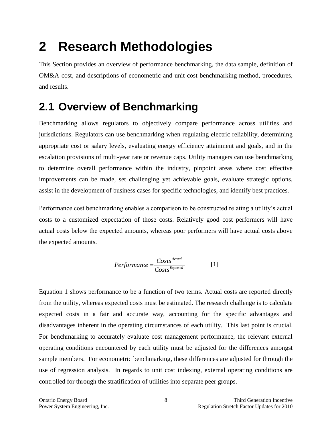# <span id="page-10-0"></span>**2 Research Methodologies**

This Section provides an overview of performance benchmarking, the data sample, definition of OM&A cost, and descriptions of econometric and unit cost benchmarking method, procedures, and results.

# <span id="page-10-1"></span>**2.1 Overview of Benchmarking**

Benchmarking allows regulators to objectively compare performance across utilities and jurisdictions. Regulators can use benchmarking when regulating electric reliability, determining appropriate cost or salary levels, evaluating energy efficiency attainment and goals, and in the escalation provisions of multi-year rate or revenue caps. Utility managers can use benchmarking to determine overall performance within the industry, pinpoint areas where cost effective improvements can be made, set challenging yet achievable goals, evaluate strategic options, assist in the development of business cases for specific technologies, and identify best practices.

Performance cost benchmarking enables a comparison to be constructed relating a utility's actual costs to a customized expectation of those costs. Relatively good cost performers will have actual costs below the expected amounts, whereas poor performers will have actual costs above the expected amounts.

$$
Performance = \frac{Costs^{Actual}}{Costs^{Expected}}
$$
 [1]

Equation 1 shows performance to be a function of two terms. Actual costs are reported directly from the utility, whereas expected costs must be estimated. The research challenge is to calculate expected costs in a fair and accurate way, accounting for the specific advantages and disadvantages inherent in the operating circumstances of each utility. This last point is crucial. For benchmarking to accurately evaluate cost management performance, the relevant external operating conditions encountered by each utility must be adjusted for the differences amongst sample members. For econometric benchmarking, these differences are adjusted for through the use of regression analysis. In regards to unit cost indexing, external operating conditions are controlled for through the stratification of utilities into separate peer groups.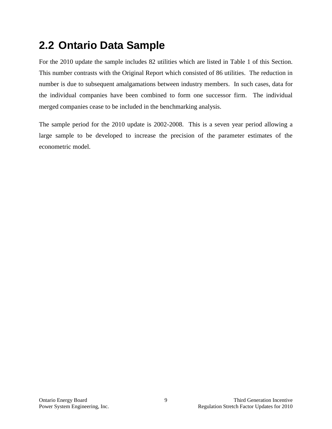# <span id="page-11-0"></span>**2.2 Ontario Data Sample**

For the 2010 update the sample includes 82 utilities which are listed in Table 1 of this Section. This number contrasts with the Original Report which consisted of 86 utilities. The reduction in number is due to subsequent amalgamations between industry members. In such cases, data for the individual companies have been combined to form one successor firm. The individual merged companies cease to be included in the benchmarking analysis.

The sample period for the 2010 update is 2002-2008. This is a seven year period allowing a large sample to be developed to increase the precision of the parameter estimates of the econometric model.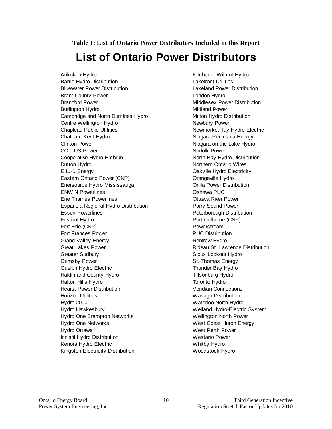<span id="page-12-0"></span>**Table 1: List of Ontario Power Distributors Included in this Report**

# **List of Ontario Power Distributors**

Atikokan Hydro **Kitchener-Wilmot Hydro** Kitchener-Wilmot Hydro Barrie Hydro Distribution Lakefront Utilities Bluewater Power Distribution Lakeland Power Distribution Brant County Power County Power County Power County Power County Power County Power County Power County Power Brantford Power **Middlesex Power Distribution** Burlington Hydro **Midland Power** Midland Power Cambridge and North Dumfries Hydro Milton Hydro Distribution Centre Wellington Hydro Newbury Power Chapleau Public Utilities Newmarket-Tay Hydro Electric Chatham-Kent Hydro **Nigara Peninsula Energy** Clinton Power Clinton Power Clinton Power COLLUS Power Norfolk Power Cooperative Hydro Embrun North Bay Hydro Distribution Dutton Hydro Northern Ontario Wires E.L.K. Energy Oakville Hydro Electricity Eastern Ontario Power (CNP) Canalysis Crangeville Hydro Enersource Hydro Mississauga **Channel Community** Orilla Power Distribution ENWIN Powerlines Oshawa PUC Erie Thames Powerlines Ottawa River Power Espanola Regional Hydro Distribution **Parry Sound Power** Essex Powerlines **Peterborough Distribution** Festival Hydro **Port Colborne** (CNP) Fort Erie (CNP) **Powerstream** Fort Frances Power **PUC** Distribution Grand Valley Energy **Rentriew Hydro** Renfrew Hydro Great Lakes Power **Rigeau St. Lawrence Distribution** Greater Sudbury **Sioux Lookout Hydro** Sioux Lookout Hydro Grimsby Power St. Thomas Energy Guelph Hydro Electric Thunder Bay Hydro Haldimand County Hydro Tillsonburg Hydro Halton Hills Hydro Toronto Hydro Hearst Power Distribution **Veridian Connections** Horizon Utilities **Wasaga Distribution** Hydro 2000 Waterloo North Hydro Hydro Hawkesbury Welland Hydro-Electric System Hydro One Brampton Networks Wellington North Power Hydro One Networks West Coast Huron Energy Hydro Ottawa West Perth Power Innisfil Hydro Distribution Westario Power Kenora Hydro Electric Whitby Hydro Kingston Electricity Distribution Woodstock Hydro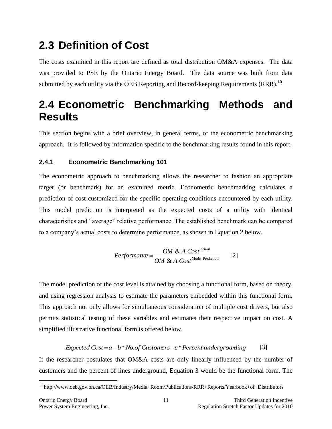# <span id="page-13-0"></span>**2.3 Definition of Cost**

The costs examined in this report are defined as total distribution OM&A expenses. The data was provided to PSE by the Ontario Energy Board. The data source was built from data submitted by each utility via the OEB Reporting and Record-keeping Requirements (RRR).<sup>10</sup>

# <span id="page-13-1"></span>**2.4 Econometric Benchmarking Methods and Results**

This section begins with a brief overview, in general terms, of the econometric benchmarking approach. It is followed by information specific to the benchmarking results found in this report.

### <span id="page-13-2"></span>**2.4.1 Econometric Benchmarking 101**

The econometric approach to benchmarking allows the researcher to fashion an appropriate target (or benchmark) for an examined metric. Econometric benchmarking calculates a prediction of cost customized for the specific operating conditions encountered by each utility. This model prediction is interpreted as the expected costs of a utility with identical characteristics and "average" relative performance. The established benchmark can be compared to a company's actual costs to determine performance, as shown in Equation 2 below.

$$
Performance = \frac{OM & A \text{ Cost}^{\text{Actual}}}{OM & A \text{ Cost}^{\text{Model Prediction}}} \qquad [2]
$$

The model prediction of the cost level is attained by choosing a functional form, based on theory, and using regression analysis to estimate the parameters embedded within this functional form. This approach not only allows for simultaneous consideration of multiple cost drivers, but also permits statistical testing of these variables and estimates their respective impact on cost. A simplified illustrative functional form is offered below.

#### *Expected*  $Cost = a + b * No. of Customers + c * Percent undergrounding$ [3]

If the researcher postulates that OM&A costs are only linearly influenced by the number of customers and the percent of lines underground, Equation 3 would be the functional form. The

<sup>10</sup> http://www.oeb.gov.on.ca/OEB/Industry/Media+Room/Publications/RRR+Reports/Yearbook+of+Distributors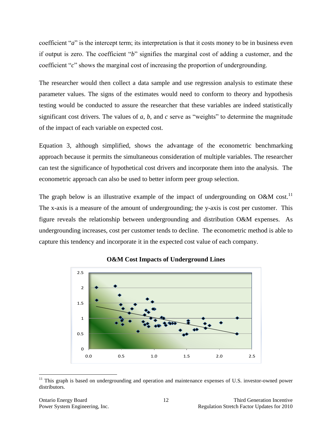coefficient "*a*" is the intercept term; its interpretation is that it costs money to be in business even if output is zero. The coefficient "*b*" signifies the marginal cost of adding a customer, and the coefficient "*c*" shows the marginal cost of increasing the proportion of undergrounding.

The researcher would then collect a data sample and use regression analysis to estimate these parameter values. The signs of the estimates would need to conform to theory and hypothesis testing would be conducted to assure the researcher that these variables are indeed statistically significant cost drivers. The values of *a*, *b*, and *c* serve as "weights" to determine the magnitude of the impact of each variable on expected cost.

Equation 3, although simplified, shows the advantage of the econometric benchmarking approach because it permits the simultaneous consideration of multiple variables. The researcher can test the significance of hypothetical cost drivers and incorporate them into the analysis. The econometric approach can also be used to better inform peer group selection.

The graph below is an illustrative example of the impact of undergrounding on O&M cost.<sup>11</sup> The x-axis is a measure of the amount of undergrounding; the y-axis is cost per customer. This figure reveals the relationship between undergrounding and distribution O&M expenses. As undergrounding increases, cost per customer tends to decline. The econometric method is able to capture this tendency and incorporate it in the expected cost value of each company.





 $11$  This graph is based on undergrounding and operation and maintenance expenses of U.S. investor-owned power distributors.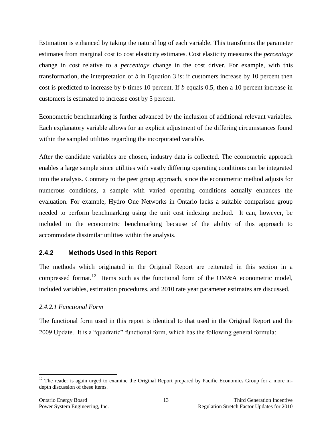Estimation is enhanced by taking the natural log of each variable. This transforms the parameter estimates from marginal cost to cost elasticity estimates. Cost elasticity measures the *percentage* change in cost relative to a *percentage* change in the cost driver. For example, with this transformation, the interpretation of *b* in Equation 3 is: if customers increase by 10 percent then cost is predicted to increase by *b* times 10 percent. If *b* equals 0.5, then a 10 percent increase in customers is estimated to increase cost by 5 percent.

Econometric benchmarking is further advanced by the inclusion of additional relevant variables. Each explanatory variable allows for an explicit adjustment of the differing circumstances found within the sampled utilities regarding the incorporated variable.

After the candidate variables are chosen, industry data is collected. The econometric approach enables a large sample since utilities with vastly differing operating conditions can be integrated into the analysis. Contrary to the peer group approach, since the econometric method adjusts for numerous conditions, a sample with varied operating conditions actually enhances the evaluation. For example, Hydro One Networks in Ontario lacks a suitable comparison group needed to perform benchmarking using the unit cost indexing method. It can, however, be included in the econometric benchmarking because of the ability of this approach to accommodate dissimilar utilities within the analysis.

### <span id="page-15-0"></span>**2.4.2 Methods Used in this Report**

The methods which originated in the Original Report are reiterated in this section in a compressed format.<sup>12</sup> Items such as the functional form of the OM&A econometric model, included variables, estimation procedures, and 2010 rate year parameter estimates are discussed.

### <span id="page-15-1"></span>*2.4.2.1 Functional Form*

The functional form used in this report is identical to that used in the Original Report and the 2009 Update. It is a "quadratic" functional form, which has the following general formula:

<sup>&</sup>lt;sup>12</sup> The reader is again urged to examine the Original Report prepared by Pacific Economics Group for a more indepth discussion of these items.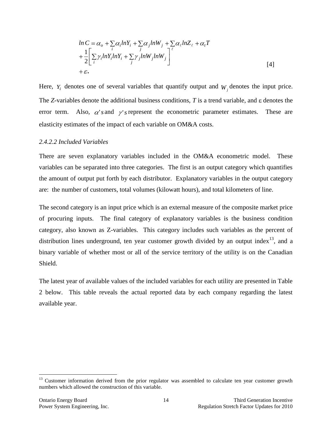$$
ln C = \alpha_o + \sum_{i} \alpha_i ln Y_i + \sum_{j} \alpha_j ln W_j + \sum_{j} \alpha_{\ell} ln Z_{\ell} + \alpha_i T
$$
  
+ 
$$
\frac{1}{2} \Bigg[ \sum_{i} \gamma_i ln Y_i ln Y_i + \sum_{j} \gamma_j ln W_j ln W_j \Bigg]^{ \ell}
$$
  
+ 
$$
\varepsilon.
$$
 [4]

Here,  $Y_i$  denotes one of several variables that quantify output and  $W_j$  denotes the input price. The *Z*-variables denote the additional business conditions,  $T$  is a trend variable, and  $\varepsilon$  denotes the error term. Also,  $\alpha$ 's and  $\gamma$ 's represent the econometric parameter estimates. These are elasticity estimates of the impact of each variable on OM&A costs.

#### <span id="page-16-0"></span>*2.4.2.2 Included Variables*

There are seven explanatory variables included in the OM&A econometric model. These variables can be separated into three categories. The first is an output category which quantifies the amount of output put forth by each distributor. Explanatory variables in the output category are: the number of customers, total volumes (kilowatt hours), and total kilometers of line.

The second category is an input price which is an external measure of the composite market price of procuring inputs. The final category of explanatory variables is the business condition category, also known as Z-variables. This category includes such variables as the percent of distribution lines underground, ten year customer growth divided by an output index<sup>13</sup>, and a binary variable of whether most or all of the service territory of the utility is on the Canadian Shield.

The latest year of available values of the included variables for each utility are presented in Table 2 below. This table reveals the actual reported data by each company regarding the latest available year.

<sup>&</sup>lt;sup>13</sup> Customer information derived from the prior regulator was assembled to calculate ten year customer growth numbers which allowed the construction of this variable.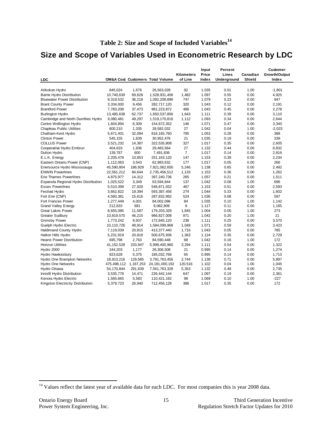## <span id="page-17-0"></span>**Size and Scope of Variables Used in Econometric Research by LDC**

|                                      |             |           |                                             |                | Input | Percent     |               | <b>Customer</b> |
|--------------------------------------|-------------|-----------|---------------------------------------------|----------------|-------|-------------|---------------|-----------------|
|                                      |             |           |                                             | Kilometers     | Price | Lines       | Canadian      | Growth/Output   |
| <b>LDC</b>                           |             |           | <b>OM&amp;A Cost Customers Total Volume</b> | of Line        | Index | Underground | <b>Shield</b> | Index           |
| Atikokan Hydro                       | 845,024     | 1,676     | 26,563,028                                  | 92             | 1.035 | 0.01        | 1.00          | $-1,801$        |
| <b>Barrie Hydro Distribution</b>     | 10,740,639  | 69,628    | 1,528,931,456                               | 1,482          | 1.097 | 0.55        | 0.00          | 4,925           |
| <b>Bluewater Power Distribution</b>  | 9,319,532   | 36,218    | 1,092,208,896                               | 747            | 1.079 | 0.23        | 0.00          | 947             |
| <b>Brant County Power</b>            | 3,334,000   | 9,456     | 282,717,120                                 | 320            | 1.043 | 0.12        | 0.00          | 2,191           |
| <b>Brantford Power</b>               | 7,783,208   | 37,473    | 981,223,872                                 | 486            | 1.043 | 0.45        | 0.00          | 2,278           |
| <b>Burlington Hydro</b>              | 13,485,638  | 62,737    | 1,650,537,856                               | 1,643          | 1.111 | 0.39        | 0.00          | 3,110           |
| Cambridge and North Dumfries Hydro   | 9,080,481   | 49,297    | 1,519,170,816                               | 1,112          | 1.093 | 0.34        | 0.00          | 2,644           |
| Centre Wellington Hydro              | 1,604,894   | 6,309     | 154,672,352                                 | 146            | 1.071 | 0.47        | 0.00          | 3,340           |
| <b>Chapleau Public Utilities</b>     | 600,210     | 1,335     | 28,582,032                                  | 27             | 1.042 | 0.04        | 1.00          | $-2,023$        |
| Chatham-Kent Hydro                   | 5,671,401   | 32,094    | 818, 165, 760                               | 795            | 1.053 | 0.28        | 0.00          | 388             |
| <b>Clinton Power</b>                 | 545,155     | 1,639     | 30,952,476                                  | 21             | 1.035 | 0.19        | 0.00          | 339             |
| <b>COLLUS Power</b>                  | 3,521,232   | 14,387    | 322,535,808                                 | 327            | 1.017 | 0.35        | 0.00          | 2,605           |
| Cooperative Hydro Embrun             | 404,633     | 1,936     | 29,483,564                                  | 27             | 1.132 | 0.44        | 0.00          | 6,832           |
| Dutton Hydro                         | 139,787     | 600       | 7,491,836                                   | $\overline{7}$ | 1.017 | 0.14        | 0.00          | 2,816           |
| E.L.K. Energy                        | 2,205,478   | 10,853    | 251, 163, 120                               | 147            | 1.153 | 0.39        | 0.00          | 2,234           |
| Eastern Ontario Power (CNP)          | 1,112,063   | 3,543     | 62,983,632                                  | 177            | 1.017 | 0.05        | 0.00          | 266             |
| Enersource Hydro Mississauga         | 45,590,804  | 186,929   | 7,821,062,656                               | 5,246          | 1.138 | 0.65        | 0.00          | 2.492           |
| <b>ENWIN Powerlines</b>              | 22,561,212  | 84,644    | 2,735,456,512                               | 1,133          | 1.153 | 0.36        | 0.00          | 1,262           |
| <b>Erie Thames Powerlines</b>        | 4,875,977   | 14,312    | 397,240,736                                 | 265            | 1.057 | 0.21        | 0.00          | 1,511           |
| Espanola Regional Hydro Distribution | 1,025,522   | 3,349     | 63,594,844                                  | 137            | 1.042 | 0.08        | 1.00          | 696             |
| <b>Essex Powerlines</b>              | 5,510,399   | 27,929    | 546,871,552                                 | 467            | 1.153 | 0.51        | 0.00          | 2,593           |
| <b>Festival Hydro</b>                | 3,662,822   | 19,394    | 593,387,456                                 | 274            | 1.044 | 0.33        | 0.00          | 1,602           |
| Fort Erie (CNP)                      | 4,560,381   | 15,616    | 287,832,992                                 | 524            | 1.036 | 0.08        | 0.00          | 597             |
| Fort Frances Power                   | 1,277,449   | 4,001     | 84,002,096                                  | 84             | 1.035 | 0.10        | 1.00          | 1.142           |
| <b>Grand Valley Energy</b>           | 212,833     | 681       | 9,082,809                                   | 9              | 1.117 | 0.11        | 0.00          | 1,165           |
| <b>Great Lakes Power</b>             | 8,655,085   | 11,587    | 179,203,328                                 | 1,845          | 1.004 | 0.00        | 1.00          | 273             |
| <b>Greater Sudbury</b>               | 10,819,570  | 46,215    | 966,827,008                                 | 871            | 1.042 | 0.20        | 1.00          | 21              |
| <b>Grimsby Power</b>                 | 1,773,242   | 9,937     | 172,845,120                                 | 238            | 1.111 | 0.25        | 0.00          | 3,570           |
| Guelph Hydro Electric                | 10,110,726  | 48,914    | 1,584,099,968                               | 1,049          | 1.071 | 0.59        | 0.00          | 3,423           |
| <b>Haldimand County Hydro</b>        | 7,119,039   | 20,815    | 413,377,440                                 | 1,716          | 1.043 | 0.05        | 0.00          | 785             |
| Halton Hills Hydro                   | 5,231,919   | 20,818    | 500,675,936                                 | 1,363          | 1.124 | 0.35        | 0.00          | 2,729           |
| <b>Hearst Power Distribution</b>     | 695,798     | 2,763     | 84,590,448                                  | 68             | 1.042 | 0.16        | 1.00          | 172             |
| <b>Horizon Utilities</b>             | 41,152,528  | 233,947   | 5,999,400,960                               | 3,294          | 1.111 | 0.54        | 0.00          | 1,322           |
| Hydro 2000                           | 244,203     | 1,177     | 26,306,508                                  | 21             | 0.995 | 0.14        | 0.00          | 1,274           |
| Hydro Hawkesbury                     | 823,628     | 5,375     | 185,032,768                                 | 65             | 0.995 | 0.14        | 0.00          | 1,713           |
| Hydro One Brampton Networks          | 18,913,216  | 129,585   | 3,791,763,456                               | 2.744          | 1.138 | 0.71        | 0.00          | 5,897           |
| <b>Hydro One Networks</b>            | 475,498,112 | 1,187,253 | 24, 181, 000, 192                           | 120,516        | 1.102 | 0.04        | 1.00          | 1,045           |
| Hydro Ottawa                         | 54,170,844  | 291,639   | 7,561,763,328                               | 5,353          | 1.132 | 0.49        | 0.00          | 2,735           |
| Innisfil Hydro Distribution          | 3,535,778   | 14,471    | 226,442,144                                 | 647            | 1.097 | 0.19        | 0.00          | 2,361           |
| Kenora Hydro Electric                | 1,565,665   | 5,583     | 110,421,192                                 | 98             | 1.069 | 0.10        | 1.00          | $-227$          |
| Kingston Electricity Distribution    | 5,379,723   | 26,940    | 712,456,128                                 | 386            | 1.017 | 0.35        | 0.00          | 172             |

<sup>&</sup>lt;sup>14</sup> Values reflect the latest year of available data for each LDC. For most companies this is year 2008 data.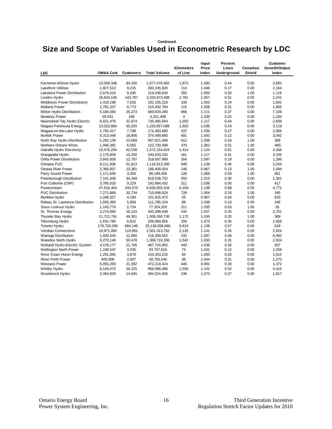#### **Continued**

### **Size and Scope of Variables Used in Econometric Research by LDC**

|                                  |                      |                  |                     | Kilometers     | Input<br>Price | Percent<br>Lines | Canadian      | Customer<br>Growth/Output |
|----------------------------------|----------------------|------------------|---------------------|----------------|----------------|------------------|---------------|---------------------------|
| LDC                              | <b>OM&amp;A Cost</b> | <b>Customers</b> | <b>Total Volume</b> | of Line        | Index          | Underground      | <b>Shield</b> | Index                     |
| Kitchener-Wilmot Hydro           | 13,009,348           | 84,195           | 1,877,476,992       | 1,872          | 1.093          | 0.44             | 0.00          | 2,892                     |
| <b>Lakefront Utilities</b>       | 1,927,512            | 9,215            | 282,245,920         | 114            | 1.046          | 0.17             | 0.00          | 2,164                     |
| Lakeland Power Distribution      | 2,676,016            | 9,295            | 219,438,640         | 355            | 1.050          | 0.20             | 1.00          | 1,116                     |
| London Hydro                     | 26,643,136           | 143,797          | 3,333,873,408       | 2,781          | 1.057          | 0.51             | 0.00          | 2,241                     |
| Middlesex Power Distribution     | 1,418,198            | 7,026            | 191, 155, 216       | 106            | 1.053          | 0.24             | 0.00          | 1,842                     |
| <b>Midland Power</b>             | 1,781,207            | 6,773            | 215, 492, 784       | 115            | 1.008          | 0.31             | 0.00          | 1,865                     |
| Milton Hydro Distribution        | 5,184,084            | 25,373           | 689,929,280         | 866            | 1.111          | 0.37             | 0.00          | 7,106                     |
| Newbury Power                    | 59,531               | 199              | 4,251,408           | $\overline{4}$ | 1.035          | 0.25             | 0.00          | 1,194                     |
| Newmarket-Tay Hydro Electric     | 6,621,476            | 31,874           | 735,465,664         | 1,050          | 1.117          | 0.44             | 0.00          | 2,839                     |
| Niagara Peninsula Energy         | 13,023,884           | 50,255           | 1,223,657,088       | 1,820          | 1.036          | 0.24             | 0.00          | 3,119                     |
| Niagara-on-the-Lake Hydro        | 1,755,417            | 7,798            | 174,363,680         | 337            | 1.036          | 0.27             | 0.00          | 2,665                     |
| Norfolk Power                    | 5,313,448            | 18,806           | 374,499,680         | 691            | 1.043          | 0.12             | 0.00          | 3,042                     |
| North Bay Hydro Distribution     | 5,292,130            | 23,669           | 567,021,568         | 612            | 1.006          | 0.16             | 1.00          | 398                       |
| Northern Ontario Wires           | 1,946,382            | 6,055            | 122,730,088         | 370            | 1.062          | 0.01             | 1.00          | $-865$                    |
| Oakville Hydro Electricity       | 10,476,294           | 62,038           | 1,572,154,624       | 1,414          | 1.124          | 0.61             | 0.00          | 4,356                     |
| Orangeville Hydro                | 2,179,609            | 10,200           | 240,633,232         | 161            | 1.117          | 0.41             | 0.00          | 3,335                     |
| Orilla Power Distribution        | 3,843,839            | 12,797           | 319,007,968         | 304            | 1.097          | 0.19             | 0.00          | 1,286                     |
| Oshawa PUC                       | 9,111,936            | 51,813           | 1,116,913,280       | 948            | 1.138          | 0.46             | 0.00          | 2,244                     |
| <b>Ottawa River Power</b>        | 2,366,857            | 10,381           | 196,409,504         | 146            | 0.967          | 0.13             | 1.00          | 1,084                     |
| Parry Sound Power                | 1,171,645            | 3,356            | 88,199,456          | 128            | 1.069          | 0.09             | 1.00          | 661                       |
| Peterborough Distribution        | 7,141,506            | 34,349           | 819,538,752         | 550            | 1.013          | 0.30             | 0.00          | 1,351                     |
| Port Colborne (CNP)              | 3,785,033            | 9,229            | 192,894,432         | 311            | 1.036          | 0.05             | 0.00          | 417                       |
| Powerstream                      | 47,616,464           | 244,573          | 6,828,655,104       | 6,109          | 1.138          | 0.68             | 0.00          | 4,771                     |
| <b>PUC Distribution</b>          | 7,271,868            | 32,734           | 710,698,624         | 728            | 1.004          | 0.16             | 1.00          | 345                       |
| <b>Renfrew Hydro</b>             | 1,046,327            | 4,194            | 101,925,472         | 55             | 0.967          | 0.04             | 0.00          | 633                       |
| Rideau St. Lawrence Distribution | 1,505,360            | 5,859            | 111,785,104         | 88             | 1.038          | 0.10             | 0.00          | 246                       |
| Sioux Lookout Hydro              | 1,143,778            | 2,734            | 77,324,320          | 211            | 1.035          | 0.03             | 1.00          | 36                        |
| St. Thomas Energy                | 3,274,890            | 16,133           | 343,399,648         | 244            | 1.057          | 0.35             | 0.00          | 2,751                     |
| Thunder Bay Hydro                | 11,721,791           | 49,361           | 1,006,260,736       | 1,172          | 1.035          | 0.20             | 1.00          | 389                       |
| <b>Tillsonburg Hydro</b>         | 1,631,765            | 6,622            | 208,969,856         | 156            | 1.073          | 0.35             | 0.00          | 1,656                     |
| <b>Toronto Hydro</b>             | 179,729,296          | 684,145          | 25, 139, 058, 688   | 9,816          | 1.138          | 0.57             | 0.00          | 618                       |
| Veridian Connections             | 19,971,080           | 110,861          | 2,501,313,792       | 2,135          | 1.141          | 0.35             | 0.00          | 2,924                     |
| <b>Wasaga Distribution</b>       | 1,920,444            | 11,660           | 116,309,552         | 232            | 1.097          | 0.46             | 0.00          | 6,492                     |
| Waterloo North Hydro             | 9,270,146            | 50,478           | 1,369,710,336       | 1,542          | 1.093          | 0.31             | 0.00          | 2,924                     |
| Welland Hydro-Electric System    | 4,578,177            | 21,706           | 467,724,992         | 443            | 1.036          | 0.26             | 0.00          | 937                       |
| Wellington North Power           | 1,199,547            | 3,535            | 93,707,616          | 75             | 1.041          | 0.12             | 0.00          | 1,259                     |
| West Coast Huron Energy          | 1,291,065            | 3,878            | 154, 353, 216       | 65             | 1.093          | 0.20             | 0.00          | 1,012                     |
| West Perth Power                 | 600,908              | 2,007            | 58,793,540          | 36             | 1.044          | 0.31             | 0.00          | 1,270                     |
| <b>Westario Power</b>            | 5,055,293            | 21,592           | 472,219,424         | 440            | 0.991          | 0.30             | 0.00          | 1,372                     |
| Whitby Hydro                     | 8,149,072            | 39,225           | 868,996,096         | 1,030          | 1.141          | 0.52             | 0.00          | 5,415                     |
| Woodstock Hydro                  | 3,364,829            | 14,645           | 394, 324, 000       | 246            | 1.073          | 0.37             | 0.00          | 1,817                     |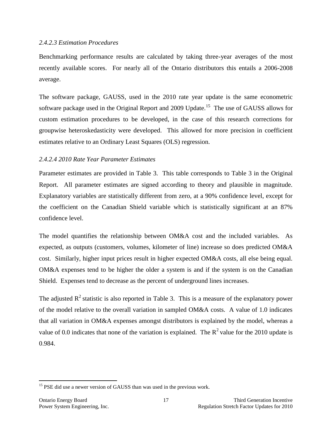#### <span id="page-19-0"></span>*2.4.2.3 Estimation Procedures*

Benchmarking performance results are calculated by taking three-year averages of the most recently available scores. For nearly all of the Ontario distributors this entails a 2006-2008 average.

The software package, GAUSS, used in the 2010 rate year update is the same econometric software package used in the Original Report and 2009 Update.<sup>15</sup> The use of GAUSS allows for custom estimation procedures to be developed, in the case of this research corrections for groupwise heteroskedasticity were developed. This allowed for more precision in coefficient estimates relative to an Ordinary Least Squares (OLS) regression.

### <span id="page-19-1"></span>*2.4.2.4 2010 Rate Year Parameter Estimates*

Parameter estimates are provided in Table 3. This table corresponds to Table 3 in the Original Report. All parameter estimates are signed according to theory and plausible in magnitude. Explanatory variables are statistically different from zero, at a 90% confidence level, except for the coefficient on the Canadian Shield variable which is statistically significant at an 87% confidence level.

The model quantifies the relationship between OM&A cost and the included variables. As expected, as outputs (customers, volumes, kilometer of line) increase so does predicted OM&A cost. Similarly, higher input prices result in higher expected OM&A costs, all else being equal. OM&A expenses tend to be higher the older a system is and if the system is on the Canadian Shield. Expenses tend to decrease as the percent of underground lines increases.

The adjusted  $\mathbb{R}^2$  statistic is also reported in Table 3. This is a measure of the explanatory power of the model relative to the overall variation in sampled OM&A costs. A value of 1.0 indicates that all variation in OM&A expenses amongst distributors is explained by the model, whereas a value of 0.0 indicates that none of the variation is explained. The  $R^2$  value for the 2010 update is 0.984.

 $15$  PSE did use a newer version of GAUSS than was used in the previous work.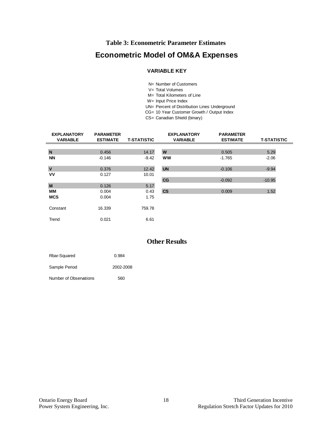### **Table 3: Econometric Parameter Estimates**

### <span id="page-20-0"></span>**Econometric Model of OM&A Expenses**

# **VARIABLE KE**<br>N= Number of Cus<br>V= Total Volumes<br>M= Total Kilomete **VARIABLE KEY**

- N= Number of Customers N= Number of Customers<br>
V= Total Volumes<br>
M= Total Kilometers of Line<br>
W= Input Price Index<br>
UN= Percent of Distribution Lines Underground
- 
- M= Total Kilometers of Line
- 
- 
- CG= 10 Year Customer Growth / Output Index
- CS= Canadian Shield (binary)

| <b>EXPLANATORY</b><br><b>VARIABLE</b> | <b>PARAMETER</b><br><b>ESTIMATE</b> | <b>T-STATISTIC</b> | <b>EXPLANATORY</b><br><b>VARIABLE</b> | <b>PARAMETER</b><br><b>ESTIMATE</b> | <b>T-STATISTIC</b> |
|---------------------------------------|-------------------------------------|--------------------|---------------------------------------|-------------------------------------|--------------------|
|                                       |                                     |                    |                                       |                                     |                    |
| N                                     | 0.456                               | 14.17              | W                                     | 0.505                               | 5.29               |
| <b>NN</b>                             | $-0.146$                            | $-9.42$            | <b>WW</b>                             | $-1.765$                            | $-2.06$            |
|                                       |                                     |                    |                                       |                                     |                    |
| $\mathbf v$                           | 0.376                               | 12.42              | <b>UN</b>                             | $-0.106$                            | $-9.94$            |
| VV                                    | 0.127                               | 10.01              |                                       |                                     |                    |
|                                       |                                     |                    | CG                                    | $-0.092$                            | $-10.95$           |
| M                                     | 0.126                               | 5.17               |                                       |                                     |                    |
| MМ                                    | 0.004                               | 0.43               | $\mathsf{CS}\phantom{0}$              | 0.009                               | 1.52               |
| <b>MCS</b>                            | 0.004                               | 1.75               |                                       |                                     |                    |
|                                       |                                     |                    |                                       |                                     |                    |
| Constant                              | 16.339                              | 759.78             |                                       |                                     |                    |
|                                       |                                     |                    |                                       |                                     |                    |
| Trend                                 | 0.021                               | 6.61               |                                       |                                     |                    |

### **Other Results**

| Rbar-Squared           | 0.984     |
|------------------------|-----------|
| Sample Period          | 2002-2008 |
| Number of Observations | 560       |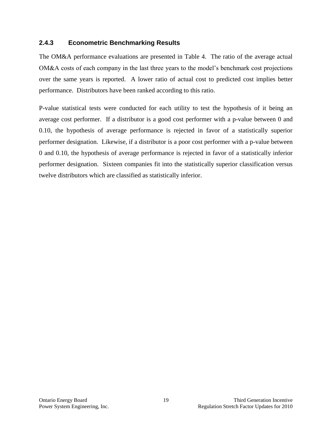### <span id="page-21-0"></span>**2.4.3 Econometric Benchmarking Results**

The OM&A performance evaluations are presented in Table 4. The ratio of the average actual OM&A costs of each company in the last three years to the model's benchmark cost projections over the same years is reported. A lower ratio of actual cost to predicted cost implies better performance. Distributors have been ranked according to this ratio.

P-value statistical tests were conducted for each utility to test the hypothesis of it being an average cost performer. If a distributor is a good cost performer with a p-value between 0 and 0.10, the hypothesis of average performance is rejected in favor of a statistically superior performer designation. Likewise, if a distributor is a poor cost performer with a p-value between 0 and 0.10, the hypothesis of average performance is rejected in favor of a statistically inferior performer designation. Sixteen companies fit into the statistically superior classification versus twelve distributors which are classified as statistically inferior.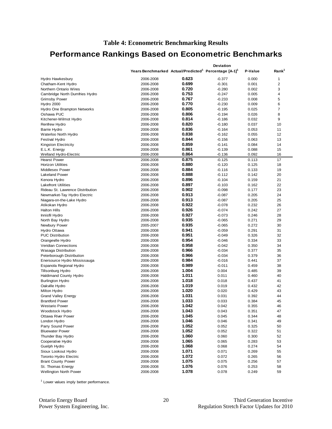### <span id="page-22-0"></span>**Performance Rankings Based on Econometric Benchmarks**

|                                       |                                                                               |       | Deviation |                |                   |
|---------------------------------------|-------------------------------------------------------------------------------|-------|-----------|----------------|-------------------|
|                                       | Years Benchmarked Actual/Predicted <sup>1</sup> Percentage [A-1] <sup>1</sup> |       |           | P-Value        | Rank <sup>1</sup> |
| Hydro Hawkesbury                      | 2006-2008                                                                     | 0.623 | $-0.377$  | 0.000          | 1                 |
| Chatham-Kent Hydro                    | 2006-2008                                                                     | 0.699 | $-0.301$  | 0.001          | $\overline{2}$    |
| Northern Ontario Wires                | 2006-2008                                                                     | 0.720 | $-0.280$  | 0.002          | 3                 |
| Cambridge North Dumfries Hydro        | 2006-2008                                                                     | 0.753 | $-0.247$  | 0.005          | 4                 |
| <b>Grimsby Power</b>                  | 2006-2008                                                                     | 0.767 | $-0.233$  | 0.008          | 5                 |
| Hydro 2000                            | 2006-2008                                                                     | 0.770 | $-0.230$  | 0.009          | 6                 |
| Hydro One Brampton Networks           | 2006-2008                                                                     | 0.805 | $-0.195$  | 0.025          | $\overline{7}$    |
| Oshawa PUC                            | 2006-2008                                                                     | 0.806 | $-0.194$  | 0.026          | 8                 |
| Kitchener-Wilmot Hydro                | 2006-2008                                                                     | 0.814 | $-0.186$  | 0.032          | 9                 |
| Renfrew Hydro                         | 2006-2008                                                                     | 0.820 | $-0.180$  | 0.037          | 10                |
| <b>Barrie Hydro</b>                   | 2006-2008                                                                     | 0.836 | $-0.164$  | 0.053          | 11                |
| Waterloo North Hydro                  | 2006-2008                                                                     | 0.838 | $-0.162$  | 0.055          | 12                |
| <b>Festival Hydro</b>                 | 2006-2008                                                                     | 0.844 | $-0.156$  | 0.063          | 13                |
| Kingston Electricity                  | 2006-2008                                                                     | 0.859 | $-0.141$  | 0.084          | 14                |
| E.L.K. Energy                         | 2006-2008                                                                     | 0.861 | $-0.139$  | 0.088          | 15                |
| Welland Hydro-Electric                | 2006-2008                                                                     | 0.864 | $-0.136$  | 0.092          | 16                |
| <b>Hearst Power</b>                   | 2006-2008                                                                     | 0.875 | $-0.125$  | 0.113          | 17                |
| <b>Horizon Utilities</b>              | 2006-2008                                                                     | 0.880 | $-0.120$  | 0.125          | 18                |
| Middlesex Power                       | 2006-2008                                                                     | 0.884 | $-0.116$  | 0.133          | 19                |
| <b>Lakeland Power</b>                 | 2006-2008                                                                     | 0.888 | $-0.112$  | 0.142          | 20                |
| Kenora Hydro                          | 2006-2008                                                                     | 0.896 | $-0.104$  | 0.159          | 21                |
| <b>Lakefront Utilities</b>            | 2006-2008                                                                     | 0.897 | $-0.103$  | 0.162          | 22                |
| Rideau St. Lawrence Distribution      |                                                                               | 0.902 | $-0.098$  | 0.177          | 23                |
|                                       | 2006-2008<br>2006-2008                                                        | 0.913 |           | 0.205          | 24                |
| Newmarket-Tay Hydro Electric          |                                                                               | 0.913 | $-0.087$  |                | 25                |
| Niagara-on-the-Lake Hydro             | 2006-2008                                                                     | 0.922 | $-0.087$  | 0.205<br>0.232 | 26                |
| Atikokan Hydro<br><b>Halton Hills</b> | 2006-2008                                                                     | 0.926 | $-0.078$  | 0.242          | 27                |
|                                       | 2006-2008                                                                     | 0.927 | $-0.074$  |                |                   |
| Innisfil Hydro                        | 2006-2008                                                                     | 0.935 | $-0.073$  | 0.246          | 28                |
| North Bay Hydro                       | 2006-2008                                                                     | 0.935 | $-0.065$  | 0.271          | 29                |
| Newbury Power                         | 2005-2007                                                                     | 0.941 | $-0.065$  | 0.272          | 30                |
| Hydro Ottawa                          | 2006-2008                                                                     | 0.951 | $-0.059$  | 0.291          | 31                |
| <b>PUC Distribution</b>               | 2006-2008                                                                     |       | $-0.049$  | 0.326          | 32                |
| Orangeville Hydro                     | 2006-2008                                                                     | 0.954 | $-0.046$  | 0.334          | 33                |
| <b>Veridian Connections</b>           | 2006-2008                                                                     | 0.958 | $-0.042$  | 0.350          | 34                |
| Wasaga Distribution                   | 2006-2008                                                                     | 0.966 | $-0.034$  | 0.377          | 35                |
| Peterborough Distribution             | 2006-2008                                                                     | 0.966 | $-0.034$  | 0.379          | 36                |
| Enersource Hydro Mississauga          | 2006-2008                                                                     | 0.984 | $-0.016$  | 0.441          | 37                |
| Espanola Regional Hydro               | 2006-2008                                                                     | 0.989 | $-0.011$  | 0.459          | 38                |
| Tillsonburg Hydro                     | 2006-2008                                                                     | 1.004 | 0.004     | 0.485          | 39                |
| <b>Haldimand County Hydro</b>         | 2006-2008                                                                     | 1.011 | 0.011     | 0.460          | 40                |
| <b>Burlington Hydro</b>               | 2006-2008                                                                     | 1.018 | 0.018     | 0.437          | 41                |
| Oakville Hydro                        | 2006-2008                                                                     | 1.019 | 0.019     | 0.432          | 42                |
| Milton Hydro                          | 2006-2008                                                                     | 1.020 | 0.020     | 0.429          | 43                |
| <b>Grand Valley Energy</b>            | 2006-2008                                                                     | 1.031 | 0.031     | 0.392          | 44                |
| <b>Brantford Power</b>                | 2006-2008                                                                     | 1.033 | 0.033     | 0.384          | 45                |
| <b>Westario Power</b>                 | 2006-2008                                                                     | 1.042 | 0.042     | 0.355          | 46                |
| Woodstock Hydro                       | 2006-2008                                                                     | 1.043 | 0.043     | 0.351          | 47                |
| <b>Ottawa River Power</b>             | 2006-2008                                                                     | 1.045 | 0.045     | 0.344          | 48                |
| London Hydro                          | 2006-2008                                                                     | 1.046 | 0.046     | 0.341          | 49                |
| Parry Sound Power                     | 2006-2008                                                                     | 1.052 | 0.052     | 0.325          | 50                |
| <b>Bluewater Power</b>                | 2006-2008                                                                     | 1.052 | 0.052     | 0.322          | 51                |
| Thunder Bay Hydro                     | 2006-2008                                                                     | 1.060 | 0.060     | 0.300          | 52                |
| Cooperative Hydro                     | 2006-2008                                                                     | 1.065 | 0.065     | 0.283          | 53                |
| Guelph Hydro                          | 2006-2008                                                                     | 1.068 | 0.068     | 0.274          | 54                |
| Sioux Lookout Hydro                   | 2006-2008                                                                     | 1.071 | 0.071     | 0.269          | 55                |
| Toronto Hydro Electric                | 2006-2008                                                                     | 1.072 | 0.072     | 0.265          | 56                |
| <b>Brant County Power</b>             | 2006-2008                                                                     | 1.075 | 0.075     | 0.256          | 57                |
| St. Thomas Energy                     | 2006-2008                                                                     | 1.076 | 0.076     | 0.253          | 58                |
| <b>Wellington North Power</b>         | 2006-2008                                                                     | 1.078 | 0.078     | 0.249          | 59                |

<sup>1</sup> Lower values imply better performance.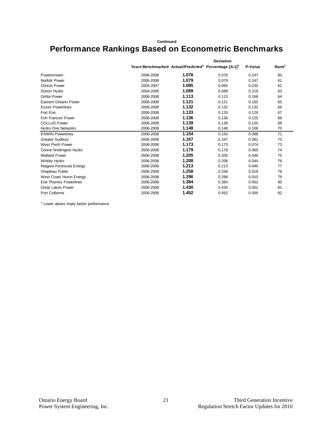#### **Continued**

## **Performance Rankings Based on Econometric Benchmarks**

|                          | <b>Deviation</b>                                                              |       |       |         |                   |  |  |  |
|--------------------------|-------------------------------------------------------------------------------|-------|-------|---------|-------------------|--|--|--|
|                          | Years Benchmarked Actual/Predicted <sup>1</sup> Percentage [A-1] <sup>1</sup> |       |       | P-Value | Rank <sup>1</sup> |  |  |  |
| Powerstream              | 2006-2008                                                                     | 1.078 | 0.078 | 0.247   | 60                |  |  |  |
| Norfolk Power            | 2006-2008                                                                     | 1.079 | 0.079 | 0.247   | 61                |  |  |  |
| <b>Clinton Power</b>     | 2005-2007                                                                     | 1.085 | 0.085 | 0.230   | 62                |  |  |  |
| Dutton Hydro             | 2004-2006                                                                     | 1.089 | 0.089 | 0.219   | 63                |  |  |  |
| Orillia Power            | 2006-2008                                                                     | 1.113 | 0.113 | 0.166   | 64                |  |  |  |
| Eastern Ontario Power    | 2006-2008                                                                     | 1.121 | 0.121 | 0.150   | 65                |  |  |  |
| <b>Essex Powerlines</b>  | 2006-2008                                                                     | 1.132 | 0.132 | 0.132   | 66                |  |  |  |
| Fort Erie                | 2006-2008                                                                     | 1.133 | 0.133 | 0.129   | 67                |  |  |  |
| Fort Frances Power       | 2006-2008                                                                     | 1.136 | 0.136 | 0.125   | 68                |  |  |  |
| <b>COLLUS Power</b>      | 2006-2008                                                                     | 1.139 | 0.139 | 0.120   | 69                |  |  |  |
| Hydro One Networks       | 2006-2008                                                                     | 1.148 | 0.148 | 0.106   | 70                |  |  |  |
| <b>ENWIN Powerlines</b>  | 2006-2008                                                                     | 1.154 | 0.154 | 0.098   | 71                |  |  |  |
| <b>Greater Sudbury</b>   | 2006-2008                                                                     | 1.167 | 0.167 | 0.081   | 72                |  |  |  |
| West Perth Power         | 2006-2008                                                                     | 1.173 | 0.173 | 0.074   | 73                |  |  |  |
| Centre Wellington Hydro  | 2006-2008                                                                     | 1.179 | 0.179 | 0.069   | 74                |  |  |  |
| <b>Midland Power</b>     | 2006-2008                                                                     | 1.205 | 0.205 | 0.046   | 75                |  |  |  |
| Whitby Hydro             | 2006-2008                                                                     | 1.208 | 0.208 | 0.044   | 76                |  |  |  |
| Niagara Peninsula Energy | 2006-2008                                                                     | 1.213 | 0.213 | 0.040   | 77                |  |  |  |
| Chapleau Public          | 2006-2008                                                                     | 1.258 | 0.258 | 0.019   | 78                |  |  |  |
| West Coast Huron Energy  | 2006-2008                                                                     | 1.296 | 0.296 | 0.010   | 79                |  |  |  |
| Erie Thames Powerlines   | 2006-2008                                                                     | 1.384 | 0.384 | 0.002   | 80                |  |  |  |
| <b>Great Lakes Power</b> | 2006-2008                                                                     | 1.430 | 0.430 | 0.001   | 81                |  |  |  |
| Port Colborne            | 2006-2008                                                                     | 1.452 | 0.452 | 0.000   | 82                |  |  |  |

<sup>1</sup> Lower values imply better performance.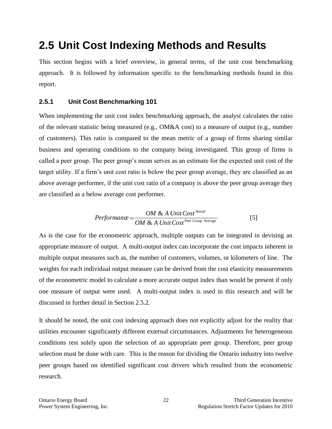# <span id="page-24-0"></span>**2.5 Unit Cost Indexing Methods and Results**

This section begins with a brief overview, in general terms, of the unit cost benchmarking approach. It is followed by information specific to the benchmarking methods found in this report.

### <span id="page-24-1"></span>**2.5.1 Unit Cost Benchmarking 101**

When implementing the unit cost index benchmarking approach, the analyst calculates the ratio of the relevant statistic being measured (e.g., OM&A cost) to a measure of output (e.g., number of customers). This ratio is compared to the mean metric of a group of firms sharing similar business and operating conditions to the company being investigated. This group of firms is called a peer group. The peer group's mean serves as an estimate for the expected unit cost of the target utility. If a firm's unit cost ratio is below the peer group average, they are classified as an above average performer, if the unit cost ratio of a company is above the peer group average they are classified as a below average cost performer.

$$
Performance = \frac{OM & A Unit Cost^{Actual}}{OM & A Unit Cost^{Per Group Average}} \tag{5}
$$

As is the case for the econometric approach, multiple outputs can be integrated in devising an appropriate measure of output. A multi-output index can incorporate the cost impacts inherent in multiple output measures such as, the number of customers, volumes, or kilometers of line. The weights for each individual output measure can be derived from the cost elasticity measurements of the econometric model to calculate a more accurate output index than would be present if only one measure of output were used. A multi-output index is used in this research and will be discussed in further detail in Section 2.5.2.

It should be noted, the unit cost indexing approach does not explicitly adjust for the reality that utilities encounter significantly different external circumstances. Adjustments for heterogeneous conditions rest solely upon the selection of an appropriate peer group. Therefore, peer group selection must be done with care. This is the reason for dividing the Ontario industry into twelve peer groups based on identified significant cost drivers which resulted from the econometric research.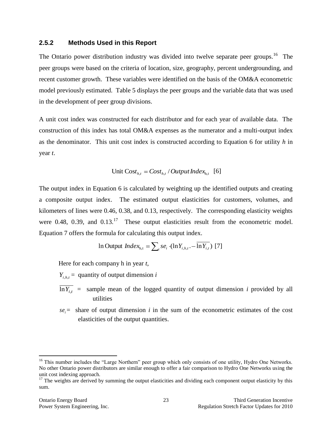#### <span id="page-25-0"></span>**2.5.2 Methods Used in this Report**

The Ontario power distribution industry was divided into twelve separate peer groups.<sup>16</sup> The peer groups were based on the criteria of location, size, geography, percent undergrounding, and recent customer growth. These variables were identified on the basis of the OM&A econometric model previously estimated. Table 5 displays the peer groups and the variable data that was used in the development of peer group divisions.

A unit cost index was constructed for each distributor and for each year of available data. The construction of this index has total OM&A expenses as the numerator and a multi-output index as the denominator. This unit cost index is constructed according to Equation 6 for utility *h* in year *t*.

Unit 
$$
Cost_{h,t} = Cost_{h,t} / Output Index_{h,t}
$$
 [6]

The output index in Equation 6 is calculated by weighting up the identified outputs and creating a composite output index. The estimated output elasticities for customers, volumes, and kilometers of lines were 0.46, 0.38, and 0.13, respectively. The corresponding elasticity weights were 0.48, 0.39, and  $0.13$ <sup>17</sup> These output elasticities result from the econometric model. Equation 7 offers the formula for calculating this output index.

In Output 
$$
Index_{h,t} = \sum_{i} s e_i \cdot (\ln Y_{i,h,t} - \overline{\ln Y_{i,t}})
$$
 [7]

Here for each company h in year *t*,

 $Y_{i,h,t}$  = quantity of output dimension *i* 

- $ln Y_{i,t}$  = sample mean of the logged quantity of output dimension *i* provided by all utilities
- $se_i$  = share of output dimension *i* in the sum of the econometric estimates of the cost elasticities of the output quantities.

<sup>&</sup>lt;sup>16</sup> This number includes the "Large Northern" peer group which only consists of one utility, Hydro One Networks. No other Ontario power distributors are similar enough to offer a fair comparison to Hydro One Networks using the unit cost indexing approach.

 $17$  The weights are derived by summing the output elasticities and dividing each component output elasticity by this sum.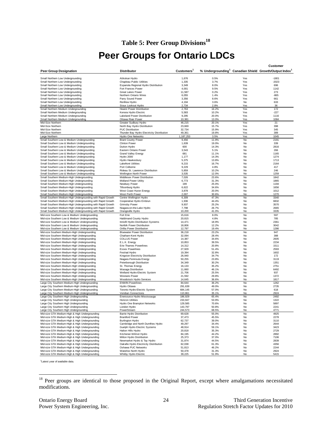### **Table 5: Peer Group Divisions<sup>18</sup>**

# **Peer Groups for Ontario LDCs**

<span id="page-26-0"></span>

|                                                                                              |                                                                   |                    |                |            | Customer                                                                       |
|----------------------------------------------------------------------------------------------|-------------------------------------------------------------------|--------------------|----------------|------------|--------------------------------------------------------------------------------|
| <b>Peer Group Designation</b>                                                                | <b>Distributor</b>                                                | <b>Customers</b>   |                |            | % Undergrounding <sup>1</sup> Canadian Shield Growth/Output Index <sup>1</sup> |
|                                                                                              |                                                                   |                    |                |            |                                                                                |
| Small Northern Low Undergrounding                                                            | Atikokan Hydro                                                    | 1,676              | 0.5%           | Yes        | $-1801$                                                                        |
| Small Northern Low Undergrounding<br>Small Northern Low Undergrounding                       | Chapleau Public Utilities<br>Espanola Regional Hydro Distribution | 1,335<br>3,349     | 3.7%<br>8.0%   | Yes<br>Yes | $-2023$<br>696                                                                 |
| Small Northern Low Undergrounding                                                            | Fort Frances Power                                                | 4,001              | 9.5%           | Yes        | 1142                                                                           |
| Small Northern Low Undergrounding                                                            | <b>Great Lakes Power</b>                                          | 11,587             | 0.2%           | Yes        | 273                                                                            |
| Small Northern Low Undergrounding                                                            | Northern Ontario Wires                                            | 6,055              | 1.4%           | Yes        | $-865$                                                                         |
| Small Northern Low Undergrounding                                                            | Parry Sound Power                                                 | 3,356              | 8.6%           | Yes        | 661                                                                            |
| Small Northern Low Undergrounding                                                            | Renfrew Hydro                                                     | 4,194              | 3.6%           | No         | 633                                                                            |
| Small Northern Low Undergrounding                                                            | Sioux Lookout Hydro                                               | 2,734              | 2.8%           | Yes        | 36                                                                             |
| Small Northern Medium Undergrounding                                                         | <b>Hearst Power Distribution</b>                                  | 2,763              | 16.2%          | Yes        | 172                                                                            |
| Small Northern Medium Undergrounding                                                         | Kenora Hydro Electric                                             | 5,583              | 10.2%          | Yes        | $-227$                                                                         |
| Small Northern Medium Undergrounding<br>Small Northern Medium Undergrounding                 | Lakeland Power Distribution<br>Ottawa River Power                 | 9,295<br>10,381    | 20.0%<br>13.0% | Yes<br>Yes | 1116<br>1084                                                                   |
| Mid-Size Northern                                                                            | Greater Sudbury Hydro                                             | 46,215             | 20.1%          | Yes        | 21                                                                             |
| Mid-Size Northern                                                                            | North Bay Hydro Distribution                                      | 23,669             | 15.7%          | Yes        | 398                                                                            |
| Mid-Size Northern                                                                            | <b>PUC Distribution</b>                                           | 32,734             | 15.9%          | Yes        | 345                                                                            |
| Mid-Size Northern                                                                            | Thunder Bay Hydro Electricity Distribution                        | 49,361             | 19.8%          | Yes        | 389                                                                            |
| Large Northern                                                                               | Hydro One Networks                                                | 1,187,253          | 3.5%           | Yes        | 1045                                                                           |
| Small Southern Low & Medium Undergrounding                                                   | <b>Brant County Power</b>                                         | 9,456              | 11.9%          | No         | 2191                                                                           |
| Small Southern Low & Medium Undergrounding                                                   | <b>Clinton Power</b>                                              | 1,639              | 19.0%          | No         | 339                                                                            |
| Small Southern Low & Medium Undergrounding                                                   | Dutton Hydro                                                      | 600                | 14.3%          | No         | 2816                                                                           |
| Small Southern Low & Medium Undergrounding                                                   | Eastern Ontario Power                                             | 3,543              | 5.1%           | No         | 266                                                                            |
| Small Southern Low & Medium Undergrounding                                                   | <b>Grand Valley Energy</b>                                        | 681                | 11.1%          | No         | 1165                                                                           |
| Small Southern Low & Medium Undergrounding                                                   | Hydro 2000                                                        | 1,177              | 14.3%          | No         | 1274                                                                           |
| Small Southern Low & Medium Undergrounding                                                   | Hydro Hawkesbury                                                  | 5,375              | 13.8%          | No         | 1713                                                                           |
| Small Southern Low & Medium Undergrounding                                                   | <b>Lakefront Utilities</b>                                        | 9,215              | 16.7%          | No         | 2164                                                                           |
| Small Southern Low & Medium Undergrounding                                                   | Port Colborne                                                     | 9,229              | 4.8%           | No         | 417<br>246                                                                     |
| Small Southern Low & Medium Undergrounding<br>Small Southern Low & Medium Undergrounding     | Rideau St. Lawrence Distribution<br>Wellington North Power        | 5,859<br>3,535     | 10.2%<br>12.0% | No<br>No   | 1259                                                                           |
| Small Southern Medium-High Undergrounding                                                    | Middlesex Power Distribution                                      | 7,026              | 23.6%          | No         | 1842                                                                           |
| Small Southern Medium-High Undergrounding                                                    | Midland Power Utility                                             | 6,773              | 31.3%          | No         | 1865                                                                           |
| Small Southern Medium-High Undergrounding                                                    | Newbury Power                                                     | 199                | 25.0%          | No         | 1194                                                                           |
| Small Southern Medium-High Undergrounding                                                    | Tillsonburg Hydro                                                 | 6,622              | 34.6%          | No         | 1656                                                                           |
| Small Southern Medium-High Undergrounding                                                    | West Coast Huron Energy                                           | 3,878              | 20.0%          | No         | 1012                                                                           |
| Small Southern Medium-High Undergrounding                                                    | West Perth Power                                                  | 2,007              | 30.6%          | No         | 1270                                                                           |
| Small Southern Medium-High Undergrounding with Rapid Growth                                  | Centre Wellington Hydro                                           | 6,309              | 47.3%          | No         | 3340                                                                           |
| Small Southern Medium-High Undergrounding with Rapid Growth                                  | Cooperative Hydro Embrun                                          | 1,936              | 44.4%          | No         | 6832                                                                           |
| Small Southern Medium-High Undergrounding with Rapid Growth                                  | <b>Grimsby Power</b>                                              | 9,937              | 25.2%          | No         | 3570                                                                           |
| Small Southern Medium-High Undergrounding with Rapid Growth                                  | Niagara-on-the-Lake Hydro                                         | 7,798              | 26.7%          | No         | 2665                                                                           |
| Small Southern Medium-High Undergrounding with Rapid Growth                                  | Orangeville Hydro                                                 | 10,200             | 41.0%          | No         | 3335                                                                           |
| Mid-size Southern Low & Medium Undergrounding                                                | Fort Erie                                                         | 15,616             | 8.0%           | No         | 597                                                                            |
| Mid-size Southern Low & Medium Undergrounding                                                | <b>Haldimand County Hydro</b>                                     | 20,815             | 4.8%           | No         | 785                                                                            |
| Mid-size Southern Low & Medium Undergrounding                                                | Innisfil Hydro Distribution Systems                               | 14,471             | 18.9%          | No         | 2361                                                                           |
| Mid-size Southern Low & Medium Undergrounding                                                | Norfolk Power Distribution                                        | 18,806             | 12.2%          | No         | 3042                                                                           |
| Mid-size Southern Low & Medium Undergrounding                                                | Orillia Power Distribution                                        | 12,797             | 19.4%          | No         | 1286                                                                           |
| Mid-size Southern Medium-High Undergrounding                                                 | <b>Bluewater Power Distribution</b>                               | 36,218             | 23.2%          | No         | 947                                                                            |
| Mid-size Southern Medium-High Undergrounding                                                 | Chatham-Kent Hydro                                                | 32,094             | 28.4%          | No         | 388                                                                            |
| Mid-size Southern Medium-High Undergrounding                                                 | <b>COLLUS Power</b>                                               | 14,387<br>10,853   | 34.6%<br>39.5% | No<br>No   | 2605<br>2234                                                                   |
| Mid-size Southern Medium-High Undergrounding<br>Mid-size Southern Medium-High Undergrounding | E.L.K. Energy<br>Erie Thames Powerlines                           | 14,312             | 20.8%          | No         | 1511                                                                           |
| Mid-size Southern Medium-High Undergrounding                                                 | <b>Essex Powerlines</b>                                           | 27,929             | 51.4%          | No         | 2593                                                                           |
| Mid-size Southern Medium-High Undergrounding                                                 | Festival Hydro                                                    | 19,394             | 32.8%          | No         | 1602                                                                           |
| Mid-size Southern Medium-High Undergrounding                                                 | Kingston Electricity Distribution                                 | 26,940             | 34.7%          | No         | 172                                                                            |
| Mid-size Southern Medium-High Undergrounding                                                 | Niagara Peninsula Energy                                          | 50,255             | 23.8%          | No         | 3119                                                                           |
| Mid-size Southern Medium-High Undergrounding                                                 | Peterborough Distribution                                         | 34,349             | 30.2%          | No         | 1351                                                                           |
| Mid-size Southern Medium-High Undergrounding                                                 | St. Thomas Energy                                                 | 16,133             | 35.2%          | No         | 2751                                                                           |
| Mid-size Southern Medium-High Undergrounding                                                 | Wasaga Distribution                                               | 11,660             | 46.1%          | No         | 6492                                                                           |
| Mid-size Southern Medium-High Undergrounding                                                 | Welland Hydro-Electric System                                     | 21,706             | 25.5%          | No         | 937                                                                            |
| Mid-size Southern Medium-High Undergrounding                                                 | <b>Westario Power</b>                                             | 21,592             | 29.8%          | No         | 1372                                                                           |
| Mid-size Southern Medium-High Undergrounding                                                 | Woodstock Hydro Services                                          | 14,645             | 36.6%          | No         | 1817                                                                           |
| Large City Southern Medium-High Undergrounding                                               | <b>ENWIN Powerlines</b>                                           | 84,644             | 36.2%          | No         | 1262                                                                           |
| Large City Southern Medium-High Undergrounding                                               | Hydro Ottawa                                                      | 291,639            | 49.0%          | No         | 2735                                                                           |
| Large City Southern Medium-High Undergrounding                                               | Toronto Hydro-Electric System                                     | 684,145            | 57.0%<br>35.1% | No<br>No   | 618<br>2924                                                                    |
| Large City Southern Medium-High Undergrounding<br>Large City Southern High Undergrounding    | Veridian Connections<br>Enersource Hydro Mississauga              | 110,861<br>186,929 | 65.4%          | No         | 2492                                                                           |
| Large City Southern High Undergrounding                                                      | <b>Horizon Utilities</b>                                          | 233,947            | 53.9%          | No         | 1322                                                                           |
| Large City Southern High Undergrounding                                                      | Hydro One Brampton Networks                                       | 129,585            | 70.6%          | No         | 5897                                                                           |
| Large City Southern High Undergrounding                                                      | London Hydro                                                      | 143,797            | 50.8%          | No         | 2241                                                                           |
| Large City Southern High Undergrounding                                                      | PowerStream                                                       | 244,573            | 68.5%          | No         | 4771                                                                           |
| Mid-size GTA Medium-High & High Undergrounding                                               | <b>Barrie Hydro Distribution</b>                                  | 69,628             | 55.0%          | No         | 4925                                                                           |
| Mid-size GTA Medium-High & High Undergrounding                                               | <b>Brantford Power</b>                                            | 37,473             | 45.5%          | No         | 2278                                                                           |
| Mid-size GTA Medium-High & High Undergrounding                                               | Burlington Hydro                                                  | 62,737             | 39.0%          | No         | 3110                                                                           |
| Mid-size GTA Medium-High & High Undergrounding                                               | Cambridge and North Dumfries Hydro                                | 49,297             | 34.4%          | No         | 2644                                                                           |
| Mid-size GTA Medium-High & High Undergrounding                                               | Guelph Hydro Electric Systems                                     | 48,914             | 59.1%          | No         | 3423                                                                           |
| Mid-size GTA Medium-High & High Undergrounding                                               | Halton Hills Hydro                                                | 20,818             | 35.3%          | No         | 2729                                                                           |
| Mid-size GTA Medium-High & High Undergrounding                                               | Kitchener-Wilmot Hydro                                            | 84,195             | 44.2%          | No         | 2892                                                                           |
| Mid-size GTA Medium-High & High Undergrounding                                               | Milton Hydro Distribution                                         | 25,373             | 37.0%          | No         | 7106                                                                           |
| Mid-size GTA Medium-High & High Undergrounding                                               | Newmarket Hydro & Tay Hydro                                       | 31,874             | 44.5%          | No         | 2839                                                                           |
| Mid-size GTA Medium-High & High Undergrounding                                               | Oakville Hydro Electricity Distribution                           | 62,038             | 61.3%          | No         | 4356                                                                           |
| Mid-size GTA Medium-High & High Undergrounding                                               | Oshawa PUC Networks                                               | 51,813             | 46.2%          | No         | 2244                                                                           |
| Mid-size GTA Medium-High & High Undergrounding                                               | Waterloo North Hydro                                              | 50,478             | 31.3%          | No         | 2924                                                                           |
| Mid-size GTA Medium-High & High Undergrounding                                               | Whitby Hydro Electric                                             | 39,225             | 51.9%          | No         | 5415                                                                           |

<sup>1</sup>Latest year of available data.

<sup>&</sup>lt;sup>18</sup> Peer groups are identical to those proposed in the Original Report, except where amalgamations necessitated modifications.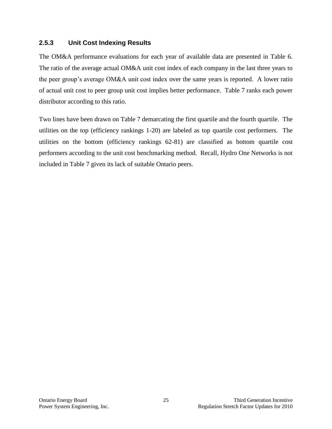### <span id="page-27-0"></span>**2.5.3 Unit Cost Indexing Results**

The OM&A performance evaluations for each year of available data are presented in Table 6. The ratio of the average actual OM&A unit cost index of each company in the last three years to the peer group's average OM&A unit cost index over the same years is reported. A lower ratio of actual unit cost to peer group unit cost implies better performance. Table 7 ranks each power distributor according to this ratio.

Two lines have been drawn on Table 7 demarcating the first quartile and the fourth quartile. The utilities on the top (efficiency rankings 1-20) are labeled as top quartile cost performers. The utilities on the bottom (efficiency rankings 62-81) are classified as bottom quartile cost performers according to the unit cost benchmarking method. Recall, Hydro One Networks is not included in Table 7 given its lack of suitable Ontario peers.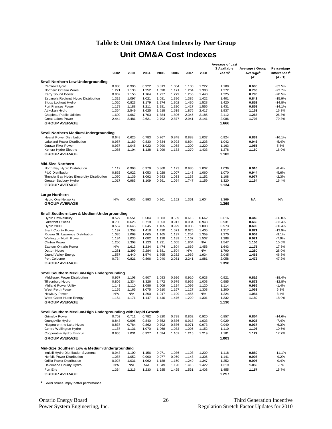### **Table 6: Unit OM&A Cost Indexes by Peer Group**

### **Unit OM&A Cost Indexes**

<span id="page-28-0"></span>

|                                                                                      |                |                |                |                |                |                |                | Average of Last    |                      |                                     |
|--------------------------------------------------------------------------------------|----------------|----------------|----------------|----------------|----------------|----------------|----------------|--------------------|----------------------|-------------------------------------|
|                                                                                      |                |                |                |                |                |                |                | 3 Available        | Average / Group      | Percentage                          |
|                                                                                      | 2002           | 2003           | 2004           | 2005           | 2006           | 2007           | 2008           | Years <sup>1</sup> | Average <sup>1</sup> | Differences <sup>1</sup><br>[A - 1] |
| <b>Small Northern Low Undergrounding</b>                                             |                |                |                |                |                |                |                |                    | [A]                  |                                     |
| Renfrew Hydro                                                                        | 0.930          | 0.996          | 0.922          | 0.813          | 1.004          | 1.100          | 1.222          | 1.108              | 0.665                | $-33.5%$                            |
| Northern Ontario Wires                                                               | 1.271          | 1.133          | 1.252          | 1.098          | 1.171          | 1.264          | 1.380          | 1.272              | 0.763                | $-23.7%$                            |
| Parry Sound Power                                                                    | 0.962          | 1.155          | 1.164          | 1.227          | 1.279          | 1.255          | 1.440          | 1.325              | 0.795                | $-20.5%$                            |
| Espanola Regional Hydro Distribution                                                 | 1.319          | 1.097          | 1.021          | 1.081          | 1.396          | 1.385          | 1.422          | 1.401              | 0.841                | $-15.9%$                            |
| Sioux Lookout Hydro                                                                  | 1.020          | 0.823          | 1.179          | 1.274          | 1.302          | 1.430          | 1.528          | 1.420              | 0.852                | $-14.8%$                            |
| Fort Frances Power                                                                   | 1.178          | 1.188          | 1.211          | 1.281          | 1.320          | 1.417          | 1.556          | 1.431              | 0.859                | $-14.1%$                            |
| Atikokan Hydro                                                                       | 1.364          | 2.549          | 1.625          | 1.518          | 1.519          | 1.876          | 2.417          | 1.937              | 1.163                | 16.3%                               |
| <b>Chapleau Public Utilities</b>                                                     | 1.609          | 1.667          | 1.703          | 1.884          | 1.806          | 2.345          | 2.185          | 2.112              | 1.268                | 26.8%                               |
| <b>Great Lakes Power</b>                                                             | 2.444          | 2.481          | 2.621          | 2.792          | 2.877          | 2.941          | 3.141          | 2.986              | 1.793                | 79.3%                               |
| <b>GROUP AVERAGE</b>                                                                 |                |                |                |                |                |                |                | 1.666              |                      |                                     |
|                                                                                      |                |                |                |                |                |                |                |                    |                      |                                     |
| <b>Small Northern Medium Undergrounding</b>                                          |                |                |                |                |                |                |                |                    |                      |                                     |
| <b>Hearst Power Distribution</b>                                                     | 0.648          | 0.625          | 0.783          | 0.767          | 0.848          | 0.888          | 1.037          | 0.924              | 0.839                | $-16.1%$                            |
| <b>Lakeland Power Distribution</b>                                                   | 0.987          | 1.189          | 0.830          | 0.834          | 0.993          | 0.894          | 1.238          | 1.042              | 0.946                | $-5.4%$                             |
| <b>Ottawa River Power</b>                                                            | 0.937          | 1.045          | 1.022<br>1.138 | 0.990          | 1.068          | 1.200          | 1.220          | 1.163              | 1.055                | 5.5%                                |
| Kenora Hydro Electric<br><b>GROUP AVERAGE</b>                                        | 1.085          | 1.104          |                | 1.099          | 1.133          | 1.270          | 1.433          | 1.278<br>1.102     | 1.160                | 16.0%                               |
|                                                                                      |                |                |                |                |                |                |                |                    |                      |                                     |
|                                                                                      |                |                |                |                |                |                |                |                    |                      |                                     |
| <b>Mid-Size Northern</b>                                                             |                |                |                |                |                |                |                |                    |                      |                                     |
| North Bay Hydro Distribution                                                         | 1.112          | 0.993          | 0.979          | 0.868          | 1.123          | 0.986          | 1.007          | 1.039              | 0.916                | $-8.4%$                             |
| <b>PUC Distribution</b><br>Thunder Bay Hydro Electricity Distribution                | 0.852<br>1.050 | 0.922<br>1.139 | 1.053<br>1.092 | 1.028<br>0.983 | 1.007<br>1.033 | 1.143<br>1.138 | 1.060<br>1.152 | 1.070<br>1.108     | 0.944<br>0.977       | $-5.6%$<br>$-2.3%$                  |
| Greater Sudbury Hydro                                                                | 1.017          | 0.983          | 1.109          | 0.991          | 1.054          | 1.747          | 1.159          | 1.320              | 1.164                | 16.4%                               |
| <b>GROUP AVERAGE</b>                                                                 |                |                |                |                |                |                |                | 1.134              |                      |                                     |
|                                                                                      |                |                |                |                |                |                |                |                    |                      |                                     |
| <b>Large Northern</b>                                                                |                |                |                |                |                |                |                |                    |                      |                                     |
| <b>Hydro One Networks</b>                                                            | N/A            | 0.936          | 0.893          | 0.961          | 1.152          | 1.351          | 1.604          | 1.369              | NA                   | <b>NA</b>                           |
| <b>GROUP AVERAGE</b>                                                                 |                |                |                |                |                |                |                | 1.369              |                      |                                     |
|                                                                                      |                |                |                |                |                |                |                |                    |                      |                                     |
|                                                                                      |                |                |                |                |                |                |                |                    |                      |                                     |
| Small Southern Low & Medium Undergrounding                                           |                |                | 0.504          |                |                |                |                | 0.616              | 0.440                |                                     |
| Hydro Hawkesbury<br><b>Lakefront Utilities</b>                                       | 0.527<br>0.705 | 0.551<br>0.626 | 0.718          | 0.603<br>0.853 | 0.569<br>0.917 | 0.616<br>0.934 | 0.662<br>0.943 | 0.931              | 0.666                | $-56.0%$<br>$-33.4%$                |
| Hydro 2000                                                                           | 0.567          | 0.645          | 0.645          | 1.165          | 0.929          | 0.983          | 1.008          | 0.973              | 0.696                | $-30.4%$                            |
| <b>Brant County Power</b>                                                            | 1.197          | 1.358          | 1.418          | 1.420          | 1.571          | 0.675          | 1.405          | 1.217              | 0.871                | $-12.9%$                            |
| Rideau St. Lawrence Distribution                                                     | 1.035          | 1.069          | 1.065          | 1.165          | 1.197          | 1.254          | 1.359          | 1.270              | 0.909                | $-9.1%$                             |
| <b>Wellington North Power</b>                                                        | 1.134          | 1.035          | 1.082          | 1.128          | 1.189          | 1.167          | 1.507          | 1.288              | 0.921                | $-7.9%$                             |
| <b>Clinton Power</b>                                                                 | 1.250          | 1.308          | 1.123          | 1.231          | 1.605          | 1.804          | N/A            | 1.547              | 1.106                | 10.6%                               |
| Eastern Ontario Power                                                                | N/A            | 1.613          | 1.234          | 1.474          | 1.804          | 1.669          | 1.456          | 1.643              | 1.175                | 17.5%                               |
| Dutton Hydro                                                                         | 1.281          | 1.399          | 2.284          | 1.581          | 1.504          | N/A            | N/A            | 1.790              | 1.280                | 28.0%                               |
| <b>Grand Valley Energy</b>                                                           | 1.587          | 1.440          | 1.574          | 1.795          | 2.232          | 1.969          | 1.934          | 2.045              | 1.463                | 46.3%                               |
| Port Colborne                                                                        | 0.734          | 0.821          | 0.896          | 2.040          | 2.051          | 2.241          | 1.881          | 2.058              | 1.472                | 47.2%                               |
| <b>GROUP AVERAGE</b>                                                                 |                |                |                |                |                |                |                | 1.398              |                      |                                     |
|                                                                                      |                |                |                |                |                |                |                |                    |                      |                                     |
| Small Southern Medium-High Undergrounding                                            |                |                |                |                |                |                |                |                    |                      |                                     |
| Middlesex Power Distribution                                                         | 0.967          | 1.108          | 0.907          | 1.083          | 0.926          | 0.910          | 0.928          | 0.921              | 0.816                | $-18.4%$                            |
| Tillsonburg Hydro                                                                    | 0.809          | 1.334          | 1.326          | 1.472          | 0.979          | 0.969          | 1.008          | 0.985              | 0.872                | $-12.8%$                            |
| <b>Midland Power Utility</b>                                                         | 1.143          | 1.110          | 1.086          | 1.009          | 1.124          | 1.099          | 1.120          | 1.114              | 0.986                | $-1.4%$                             |
| West Perth Power                                                                     | 1.155          | 1.165          | 1.075          | 0.910          | 1.167          | 1.127          | 1.308          | 1.200              | 1.063                | 6.3%                                |
| Newbury Power<br>West Coast Huron Energy                                             | N/A<br>1.164   | N/A<br>1.171   | 1.290<br>1.147 | 1.017<br>1.440 | 1.199<br>1.476 | 1.456<br>1.220 | N/A<br>1.301   | 1.224<br>1.332     | 1.084<br>1.180       | 8.4%<br>18.0%                       |
| <b>GROUP AVERAGE</b>                                                                 |                |                |                |                |                |                |                | 1.130              |                      |                                     |
|                                                                                      |                |                |                |                |                |                |                |                    |                      |                                     |
|                                                                                      |                |                |                |                |                |                |                |                    |                      |                                     |
| Small Southern Medium-High Undergrounding with Rapid Growth<br><b>Grimsby Power</b>  | 0.702          | 0.711          | 0.782          | 0.820          | 0.788          | 0.862          | 0.920          | 0.857              | 0.854                | $-14.6%$                            |
| Orangeville Hydro                                                                    | 0.848          | 0.905          | 0.840          | 0.852          | 0.836          | 0.918          | 1.033          | 0.929              | 0.926                | $-7.4%$                             |
| Niagara-on-the-Lake Hydro                                                            | 0.837          | 0.784          | 0.862          | 0.792          | 0.876          | 0.971          | 0.973          | 0.940              | 0.937                | $-6.3%$                             |
| Centre Wellington Hydro                                                              | 1.187          | 1.131          | 1.070          | 1.068          | 1.083          | 1.095          | 1.152          | 1.110              | 1.106                | 10.6%                               |
| Cooperative Hydro Embrun                                                             | 0.955          | 1.031          | 0.927          | 1.094          | 1.107          | 1.215          | 1.219          | 1.181              | 1.177                | 17.7%                               |
| <b>GROUP AVERAGE</b>                                                                 |                |                |                |                |                |                |                | 1.003              |                      |                                     |
|                                                                                      |                |                |                |                |                |                |                |                    |                      |                                     |
|                                                                                      |                |                |                |                |                |                |                |                    |                      |                                     |
| Mid-Size Southern Low & Medium Undergrounding<br>Innisfil Hydro Distribution Systems | 0.948          | 1.109          | 1.156          | 0.971          | 1.036          | 1.108          | 1.209          | 1.118              | 0.889                | $-11.1%$                            |
| Norfolk Power Distribution                                                           | 1.087          | 1.052          | 0.990          | 0.977          | 0.969          | 1.148          | 1.306          | 1.141              | 0.908                | $-9.2%$                             |
| Orillia Power Distribution                                                           | 0.927          | 1.031          | 1.062          | 1.188          | 1.160          | 1.249          | 1.347          | 1.252              | 0.996                | $-0.4%$                             |
| Haldimand County Hydro                                                               | N/A            | N/A            | N/A            | 1.049          | 1.120          | 1.415          | 1.422          | 1.319              | 1.050                | 5.0%                                |
| Fort Erie                                                                            | 1.364          | 1.216          | 1.230          | 1.285          | 1.425          | 1.531          | 1.408          | 1.455              | 1.157                | 15.7%                               |
| <b>GROUP AVERAGE</b>                                                                 |                |                |                |                |                |                |                | 1.257              |                      |                                     |
|                                                                                      |                |                |                |                |                |                |                |                    |                      |                                     |

**<sup>1</sup>** Lower values imply better performance.

Ontario Energy Board 26 Third Generation Incentive<br>Power System Engineering, Inc. 2010<br>Regulation Stretch Factor Updates for 2010 Regulation Stretch Factor Updates for 2010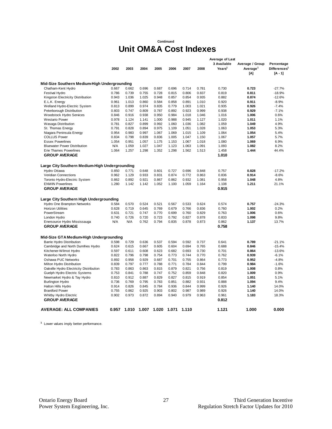#### **Continued**

### **Unit OM&A Cost Indexes**

|                                                |       |                |                |                |                |                |                | Average of Last    |                      |                          |
|------------------------------------------------|-------|----------------|----------------|----------------|----------------|----------------|----------------|--------------------|----------------------|--------------------------|
|                                                |       |                |                |                |                |                |                | 3 Available        | Average / Group      | Percentage               |
|                                                | 2002  | 2003           | 2004           | 2005           | 2006           | 2007           | 2008           | Years <sup>1</sup> | Average <sup>1</sup> | Differences <sup>1</sup> |
|                                                |       |                |                |                |                |                |                |                    | [A]                  | $[A - 1]$                |
| Mid-Size Southern Medium-High Undergrounding   |       |                |                |                |                |                |                |                    |                      |                          |
| Chatham-Kent Hydro                             | 0.667 | 0.662          | 0.696          | 0.687          | 0.696          | 0.714          | 0.781          | 0.730              | 0.723                | $-27.7%$                 |
|                                                | 0.786 |                |                |                |                |                |                |                    | 0.811                | $-18.9%$                 |
| <b>Festival Hydro</b>                          | 0.943 | 0.739<br>1.036 | 0.755<br>1.025 | 0.728<br>0.948 | 0.815<br>0.857 | 0.806<br>0.854 | 0.837<br>0.935 | 0.819<br>0.882     | 0.874                | $-12.6%$                 |
| Kingston Electricity Distribution              | 0.961 | 1.013          | 0.860          | 0.584          | 0.858          | 0.891          | 1.010          | 0.920              | 0.911                | $-8.9%$                  |
| E.L.K. Energy<br>Welland Hydro-Electric System | 0.813 | 0.899          | 0.974          | 0.835          | 0.779          | 1.003          | 1.021          | 0.935              | 0.926                | $-7.4%$                  |
| Peterborough Distribution                      | 0.803 | 0.747          | 0.809          | 0.787          | 0.892          | 0.923          | 0.999          | 0.938              | 0.929                | $-7.1%$                  |
| <b>Woodstock Hydro Services</b>                | 0.846 | 0.916          | 0.938          | 0.950          | 0.984          | 1.018          | 1.046          | 1.016              | 1.006                | 0.6%                     |
| <b>Westario Power</b>                          | 0.978 | 1.124          | 1.141          | 1.000          | 0.988          | 0.945          | 1.127          | 1.020              | 1.011                | 1.1%                     |
|                                                | 0.781 | 0.827          | 0.899          | 0.992          | 1.060          | 1.036          | 1.082          | 1.059              | 1.049                | 4.9%                     |
| Wasaga Distribution<br>St. Thomas Energy       | 0.791 | 0.828          | 0.894          | 0.975          | 1.109          | 1.051          | 1.028          | 1.063              | 1.053                | 5.3%                     |
| Niagara Peninsula Energy                       | 0.954 | 0.983          | 0.997          | 1.067          | 1.069          | 1.015          | 1.109          | 1.064              | 1.054                | 5.4%                     |
| <b>COLLUS Power</b>                            | 0.834 | 0.798          | 0.839          | 0.836          | 1.005          | 1.047          | 1.150          | 1.067              | 1.057                | 5.7%                     |
| <b>Essex Powerlines</b>                        | 1.054 | 0.951          | 1.057          | 1.175          | 1.153          | 1.067          | 1.018          | 1.080              | 1.069                | 6.9%                     |
| <b>Bluewater Power Distribution</b>            | N/A   | 1.059          | 1.027          | 1.047          | 1.123          | 1.063          | 1.091          | 1.093              | 1.082                | 8.2%                     |
|                                                |       | 1.257          | 1.298          |                | 1.298          |                |                |                    |                      |                          |
| <b>Erie Thames Powerlines</b>                  | 1.064 |                |                | 1.352          |                | 1.562          | 1.513          | 1.458              | 1.444                | 44.4%                    |
| <b>GROUP AVERAGE</b>                           |       |                |                |                |                |                |                | 1.010              |                      |                          |
| Large City Southern Medium-High Undergrounding |       |                |                |                |                |                |                |                    |                      |                          |
| Hydro Ottawa                                   | 0.850 | 0.771          | 0.648          | 0.601          | 0.727          | 0.696          | 0.848          | 0.757              | 0.828                | $-17.2%$                 |
| Veridian Connections                           | 0.962 | 1.129          | 0.933          | 0.831          | 0.874          | 0.772          | 0.863          | 0.836              | 0.914                | $-8.6%$                  |
| Toronto Hydro-Electric System                  | 0.862 | 0.892          | 0.921          | 0.867          | 0.862          | 0.932          | 1.081          | 0.958              | 1.048                | 4.8%                     |
| <b>ENWIN Powerlines</b>                        | 1.280 | 1.142          | 1.142          | 1.052          | 1.100          | 1.059          | 1.164          | 1.108              | 1.211                | 21.1%                    |
| <b>GROUP AVERAGE</b>                           |       |                |                |                |                |                |                | 0.915              |                      |                          |
| Large City Southern High Undergrounding        |       |                |                |                |                |                |                |                    |                      |                          |
|                                                |       |                |                |                |                |                |                |                    |                      |                          |
| Hydro One Brampton Networks                    | 0.584 | 0.570          | 0.524          | 0.521          | 0.567          | 0.533          | 0.624          | 0.574              | 0.757                | $-24.3%$                 |
| <b>Horizon Utilities</b>                       | 0.628 | 0.719          | 0.645          | 0.769          | 0.679          | 0.766          | 0.836          | 0.760              | 1.002                | 0.2%                     |
| PowerStream                                    | 0.631 | 0.721          | 0.747          | 0.770          | 0.699          | 0.760          | 0.829          | 0.763              | 1.006                | 0.6%                     |
| London Hydro                                   | 0.740 | 0.726          | 0.720          | 0.723          | 0.792          | 0.827          | 0.878          | 0.833              | 1.098                | 9.8%                     |
| Enersource Hydro Mississauga                   | N/A   | N/A            | 0.762          | 0.794          | 0.835          | 0.878          | 0.873          | 0.862              | 1.137                | 13.7%                    |
| <b>GROUP AVERAGE</b>                           |       |                |                |                |                |                |                | 0.758              |                      |                          |
| Mid-Size GTA Medium-High Undergrounding        |       |                |                |                |                |                |                |                    |                      |                          |
| <b>Barrie Hydro Distribution</b>               | 0.598 | 0.729          | 0.636          | 0.537          | 0.594          | 0.592          | 0.737          | 0.641              | 0.789                | $-21.1%$                 |
| Cambridge and North Dumfries Hydro             | 0.624 | 0.615          | 0.667          | 0.605          | 0.604          | 0.694          | 0.765          | 0.688              | 0.846                | $-15.4%$                 |
| Kitchener-Wilmot Hydro                         | 0.597 | 0.611          | 0.608          | 0.623          | 0.682          | 0.693          | 0.730          | 0.701              | 0.864                | $-13.6%$                 |
| Waterloo North Hydro                           | 0.822 | 0.796          | 0.798          | 0.754          | 0.773          | 0.744          | 0.770          | 0.762              | 0.939                | $-6.1%$                  |
| Oshawa PUC Networks                            | 0.892 | 0.958          | 0.929          | 0.687          | 0.701          | 0.755          | 0.864          | 0.773              | 0.952                | $-4.8%$                  |
| Milton Hydro Distribution                      | 0.839 | 0.797          | 0.777          | 0.788          | 0.771          | 0.784          | 0.844          | 0.799              | 0.984                | $-1.6%$                  |
| Oakville Hydro Electricity Distribution        | 0.783 | 0.863          | 0.863          | 0.815          | 0.879          | 0.821          | 0.756          | 0.819              | 1.008                | 0.8%                     |
| Guelph Hydro Electric Systems                  | 0.753 | 0.841          | 0.788          | 0.747          | 0.752          | 0.859          | 0.848          | 0.820              | 1.009                | 0.9%                     |
| Newmarket Hydro & Tay Hydro                    | 0.810 | 0.912          | 0.887          | 0.829          | 0.827          | 0.815          | 0.919          | 0.854              | 1.051                | 5.1%                     |
| <b>Burlington Hydro</b>                        | 0.736 | 0.769          | 0.795          | 0.783          | 0.851          | 0.882          | 0.931          | 0.888              | 1.094                | 9.4%                     |
| Halton Hills Hydro                             | 0.914 | 0.826          | 0.845          | 0.784          | 0.936          | 0.844          | 0.999          | 0.926              | 1.140                | 14.0%                    |
| <b>Brantford Power</b>                         | 0.755 | 0.862          | 0.925          | 0.903          | 0.802          | 0.987          | 0.989          | 0.926              | 1.140                | 14.0%                    |
| <b>Whitby Hydro Electric</b>                   | 0.902 | 0.973          | 0.872          | 0.894          | 0.940          | 0.979          | 0.963          | 0.961              | 1.183                | 18.3%                    |
| <b>GROUP AVERAGE</b>                           |       |                |                |                |                |                |                | 0.812              |                      |                          |
| <b>AVERAGE: ALL COMPANIES</b>                  | 0.957 | 1.010          | 1.007 1.020    |                | 1.071          | 1.110          |                | 1.121              | 1.000                | 0.000                    |
|                                                |       |                |                |                |                |                |                |                    |                      |                          |

**<sup>1</sup>** Lower values imply better performance.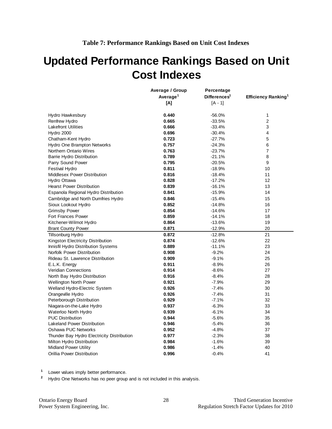# <span id="page-30-0"></span>**Updated Performance Rankings Based on Unit Cost Indexes**

|                                            | Average / Group<br>Percentage<br>Average <sup>1</sup><br>Differences <sup>1</sup> |           |                                 |
|--------------------------------------------|-----------------------------------------------------------------------------------|-----------|---------------------------------|
|                                            | [A]                                                                               | $[A - 1]$ | Efficiency Ranking <sup>1</sup> |
|                                            |                                                                                   |           |                                 |
| Hydro Hawkesbury                           | 0.440                                                                             | $-56.0%$  | $\mathbf{1}$                    |
| Renfrew Hydro                              | 0.665                                                                             | $-33.5%$  | $\overline{2}$                  |
| <b>Lakefront Utilities</b>                 | 0.666                                                                             | $-33.4%$  | 3                               |
| Hydro 2000                                 | 0.696                                                                             | $-30.4%$  | 4                               |
| Chatham-Kent Hydro                         | 0.723                                                                             | $-27.7%$  | 5                               |
| Hydro One Brampton Networks                | 0.757                                                                             | $-24.3%$  | 6                               |
| Northern Ontario Wires                     | 0.763                                                                             | $-23.7%$  | $\overline{7}$                  |
| <b>Barrie Hydro Distribution</b>           | 0.789                                                                             | $-21.1%$  | 8                               |
| Parry Sound Power                          | 0.795                                                                             | $-20.5%$  | 9                               |
| <b>Festival Hydro</b>                      | 0.811                                                                             | $-18.9%$  | 10                              |
| <b>Middlesex Power Distribution</b>        | 0.816                                                                             | $-18.4%$  | 11                              |
| Hydro Ottawa                               | 0.828                                                                             | $-17.2%$  | 12                              |
| <b>Hearst Power Distribution</b>           | 0.839                                                                             | $-16.1%$  | 13                              |
| Espanola Regional Hydro Distribution       | 0.841                                                                             | $-15.9%$  | 14                              |
| Cambridge and North Dumfries Hydro         | 0.846                                                                             | $-15.4%$  | 15                              |
| Sioux Lookout Hydro                        | 0.852                                                                             | $-14.8%$  | 16                              |
| <b>Grimsby Power</b>                       | 0.854                                                                             | $-14.6%$  | 17                              |
| Fort Frances Power                         | 0.859                                                                             | $-14.1%$  | 18                              |
| Kitchener-Wilmot Hydro                     | 0.864                                                                             | $-13.6%$  | 19                              |
| <b>Brant County Power</b>                  | 0.871                                                                             | $-12.9%$  | 20                              |
| <b>Tillsonburg Hydro</b>                   | 0.872                                                                             | $-12.8%$  | 21                              |
| Kingston Electricity Distribution          | 0.874                                                                             | $-12.6%$  | 22                              |
| Innisfil Hydro Distribution Systems        | 0.889                                                                             | $-11.1%$  | 23                              |
| Norfolk Power Distribution                 | 0.908                                                                             | $-9.2%$   | 24                              |
| Rideau St. Lawrence Distribution           | 0.909                                                                             | $-9.1%$   | 25                              |
| E.L.K. Energy                              | 0.911                                                                             | $-8.9%$   | 26                              |
| <b>Veridian Connections</b>                | 0.914                                                                             | $-8.6%$   | 27                              |
| North Bay Hydro Distribution               | 0.916                                                                             | $-8.4%$   | 28                              |
| <b>Wellington North Power</b>              | 0.921                                                                             | $-7.9%$   | 29                              |
| Welland Hydro-Electric System              | 0.926                                                                             | $-7.4%$   | 30                              |
| Orangeville Hydro                          | 0.926                                                                             | $-7.4%$   | 31                              |
| Peterborough Distribution                  | 0.929                                                                             | $-7.1%$   | 32                              |
| Niagara-on-the-Lake Hydro                  | 0.937                                                                             | $-6.3%$   | 33                              |
| Waterloo North Hydro                       | 0.939                                                                             | $-6.1%$   | 34                              |
| <b>PUC Distribution</b>                    | 0.944                                                                             | $-5.6%$   | 35                              |
| <b>Lakeland Power Distribution</b>         | 0.946                                                                             | $-5.4%$   | 36                              |
| Oshawa PUC Networks                        | 0.952                                                                             | $-4.8%$   | 37                              |
| Thunder Bay Hydro Electricity Distribution | 0.977                                                                             | $-2.3%$   | 38                              |
| Milton Hydro Distribution                  | 0.984                                                                             | $-1.6%$   | 39                              |
| <b>Midland Power Utility</b>               | 0.986                                                                             | $-1.4%$   | 40                              |
| Orillia Power Distribution                 | 0.996                                                                             | $-0.4%$   | 41                              |

**<sup>1</sup>** Lower values imply better performance.

**<sup>2</sup>** Hydro One Networks has no peer group and is not included in this analysis.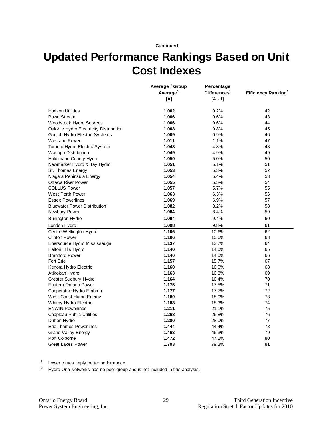#### **Continued**

# **Updated Performance Rankings Based on Unit Cost Indexes**

|                                         | Average / Group      | Percentage               |                                 |
|-----------------------------------------|----------------------|--------------------------|---------------------------------|
|                                         | Average <sup>1</sup> | Differences <sup>1</sup> | Efficiency Ranking <sup>1</sup> |
|                                         | [A]                  | $[A - 1]$                |                                 |
| <b>Horizon Utilities</b>                | 1.002                | 0.2%                     | 42                              |
| PowerStream                             | 1.006                | 0.6%                     | 43                              |
| <b>Woodstock Hydro Services</b>         | 1.006                | 0.6%                     | 44                              |
| Oakville Hydro Electricity Distribution | 1.008                | 0.8%                     | 45                              |
| Guelph Hydro Electric Systems           | 1.009                | 0.9%                     | 46                              |
| <b>Westario Power</b>                   | 1.011                | 1.1%                     | 47                              |
| Toronto Hydro-Electric System           | 1.048                | 4.8%                     | 48                              |
| Wasaga Distribution                     | 1.049                | 4.9%                     | 49                              |
| Haldimand County Hydro                  | 1.050                | 5.0%                     | 50                              |
| Newmarket Hydro & Tay Hydro             | 1.051                | 5.1%                     | 51                              |
| St. Thomas Energy                       | 1.053                | 5.3%                     | 52                              |
| Niagara Peninsula Energy                | 1.054                | 5.4%                     | 53                              |
| <b>Ottawa River Power</b>               | 1.055                | 5.5%                     | 54                              |
| <b>COLLUS Power</b>                     | 1.057                | 5.7%                     | 55                              |
| West Perth Power                        | 1.063                | 6.3%                     | 56                              |
| <b>Essex Powerlines</b>                 | 1.069                | 6.9%                     | 57                              |
| <b>Bluewater Power Distribution</b>     | 1.082                | 8.2%                     | 58                              |
| Newbury Power                           | 1.084                | 8.4%                     | 59                              |
| <b>Burlington Hydro</b>                 | 1.094                | 9.4%                     | 60                              |
| London Hydro                            | 1.098                | 9.8%                     | 61                              |
| Centre Wellington Hydro                 | 1.106                | 10.6%                    | 62                              |
| <b>Clinton Power</b>                    | 1.106                | 10.6%                    | 63                              |
| Enersource Hydro Mississauga            | 1.137                | 13.7%                    | 64                              |
| Halton Hills Hydro                      | 1.140                | 14.0%                    | 65                              |
| <b>Brantford Power</b>                  | 1.140                | 14.0%                    | 66                              |
| Fort Erie                               | 1.157                | 15.7%                    | 67                              |
| Kenora Hydro Electric                   | 1.160                | 16.0%                    | 68                              |
| Atikokan Hydro                          | 1.163                | 16.3%                    | 69                              |
| <b>Greater Sudbury Hydro</b>            | 1.164                | 16.4%                    | 70                              |
| <b>Eastern Ontario Power</b>            | 1.175                | 17.5%                    | 71                              |
| Cooperative Hydro Embrun                | 1.177                | 17.7%                    | 72                              |
| West Coast Huron Energy                 | 1.180                | 18.0%                    | 73                              |
| <b>Whitby Hydro Electric</b>            | 1.183                | 18.3%                    | 74                              |
| <b>ENWIN Powerlines</b>                 | 1.211                | 21.1%                    | 75                              |
| <b>Chapleau Public Utilities</b>        | 1.268                | 26.8%                    | 76                              |
| Dutton Hydro                            | 1.280                | 28.0%                    | 77                              |
| <b>Erie Thames Powerlines</b>           | 1.444                | 44.4%                    | 78                              |
| <b>Grand Valley Energy</b>              | 1.463                | 46.3%                    | 79                              |
| Port Colborne                           | 1.472                | 47.2%                    | 80                              |
| <b>Great Lakes Power</b>                | 1.793                | 79.3%                    | 81                              |

**<sup>1</sup>** Lower values imply better performance.

**<sup>2</sup>** Hydro One Networks has no peer group and is not included in this analysis.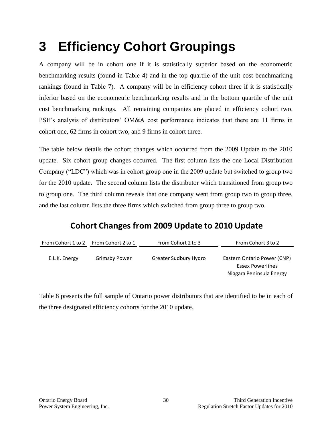# <span id="page-32-0"></span>**3 Efficiency Cohort Groupings**

A company will be in cohort one if it is statistically superior based on the econometric benchmarking results (found in Table 4) and in the top quartile of the unit cost benchmarking rankings (found in Table 7). A company will be in efficiency cohort three if it is statistically inferior based on the econometric benchmarking results and in the bottom quartile of the unit cost benchmarking rankings. All remaining companies are placed in efficiency cohort two. PSE's analysis of distributors' OM&A cost performance indicates that there are 11 firms in cohort one, 62 firms in cohort two, and 9 firms in cohort three.

The table below details the cohort changes which occurred from the 2009 Update to the 2010 update. Six cohort group changes occurred. The first column lists the one Local Distribution Company ("LDC") which was in cohort group one in the 2009 update but switched to group two for the 2010 update. The second column lists the distributor which transitioned from group two to group one. The third column reveals that one company went from group two to group three, and the last column lists the three firms which switched from group three to group two.

## **Cohort Changes from 2009 Update to 2010 Update**

| From Cohort 1 to 2 From Cohort 2 to 1 |               | From Cohort 2 to 3    | From Cohort 3 to 2                              |
|---------------------------------------|---------------|-----------------------|-------------------------------------------------|
| E.L.K. Energy                         | Grimsby Power | Greater Sudbury Hydro | Eastern Ontario Power (CNP)<br>Essex Powerlines |
|                                       |               |                       | Niagara Peninsula Energy                        |

Table 8 presents the full sample of Ontario power distributors that are identified to be in each of the three designated efficiency cohorts for the 2010 update.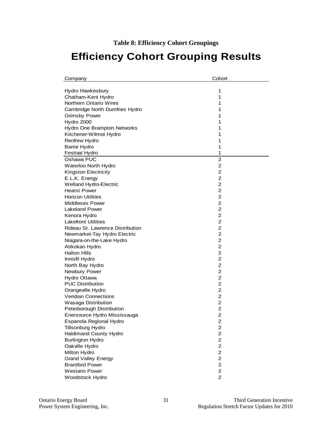**Table 8: Efficiency Cohort Groupings**

# <span id="page-33-0"></span>**Efficiency Cohort Grouping Results**

| Company                          | Cohort                  |
|----------------------------------|-------------------------|
|                                  |                         |
| Hydro Hawkesbury                 | 1                       |
| Chatham-Kent Hydro               | 1                       |
| <b>Northern Ontario Wires</b>    | 1                       |
| Cambridge North Dumfries Hydro   | 1                       |
| <b>Grimsby Power</b>             | 1                       |
| Hydro 2000                       | 1                       |
| Hydro One Brampton Networks      | 1                       |
| Kitchener-Wilmot Hydro           | 1                       |
| Renfrew Hydro                    | 1                       |
| <b>Barrie Hydro</b>              | 1                       |
| <b>Festival Hydro</b>            | 1                       |
| Oshawa PUC                       | $\overline{c}$          |
| Waterloo North Hydro             | 2                       |
| Kingston Electricity             | $\overline{c}$          |
| E.L.K. Energy                    | 2                       |
| Welland Hydro-Electric           | 2                       |
| <b>Hearst Power</b>              | 2                       |
| <b>Horizon Utilities</b>         | 2                       |
| Middlesex Power                  | $\overline{c}$          |
| <b>Lakeland Power</b>            | $\overline{2}$          |
| Kenora Hydro                     | $\overline{c}$          |
| <b>Lakefront Utilities</b>       | $\overline{c}$          |
| Rideau St. Lawrence Distribution | $\overline{2}$          |
| Newmarket-Tay Hydro Electric     | $\overline{c}$          |
| Niagara-on-the-Lake Hydro        | 2                       |
| Atikokan Hydro                   | 2                       |
| <b>Halton Hills</b>              | $\overline{2}$          |
| Innisfil Hydro                   | 2                       |
| North Bay Hydro                  | 2                       |
| Newbury Power                    | $\overline{2}$          |
| Hydro Ottawa                     | 2                       |
| <b>PUC Distribution</b>          | $\overline{2}$          |
| Orangeville Hydro                | 2                       |
| <b>Veridian Connections</b>      | $\overline{\mathbf{c}}$ |
| Wasaga Distribution              | $\overline{\mathbf{c}}$ |
| Peterborough Distribution        | 2                       |
| Enersource Hydro Mississauga     | $\overline{2}$          |
| Espanola Regional Hydro          | 2                       |
| Tillsonburg Hydro                | 2                       |
| Haldimand County Hydro           | 2                       |
| <b>Burlington Hydro</b>          | 2                       |
| Oakville Hydro                   | $\overline{c}$          |
| Milton Hydro                     | $\overline{c}$          |
| <b>Grand Valley Energy</b>       | $\overline{c}$          |
| <b>Brantford Power</b>           | $\overline{c}$          |
| <b>Westario Power</b>            | $\overline{c}$          |
| Woodstock Hydro                  | $\overline{c}$          |
|                                  |                         |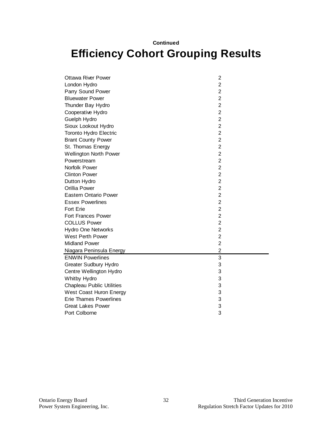#### **Continued**

# **Efficiency Cohort Grouping Results**

| <b>Ottawa River Power</b>        | 2                       |  |
|----------------------------------|-------------------------|--|
| London Hydro                     | $\overline{2}$          |  |
| Parry Sound Power                | $\overline{2}$          |  |
| <b>Bluewater Power</b>           | $\overline{c}$          |  |
| Thunder Bay Hydro                | $\overline{2}$          |  |
| Cooperative Hydro                | $\overline{c}$          |  |
| Guelph Hydro                     | $\mathbf 2$             |  |
| Sioux Lookout Hydro              | $\overline{c}$          |  |
| Toronto Hydro Electric           | $\overline{\mathbf{c}}$ |  |
| <b>Brant County Power</b>        | $\overline{2}$          |  |
| St. Thomas Energy                | $\overline{2}$          |  |
| <b>Wellington North Power</b>    | $\overline{c}$          |  |
| Powerstream                      | $\overline{2}$          |  |
| Norfolk Power                    | $\overline{c}$          |  |
| <b>Clinton Power</b>             | $\overline{c}$          |  |
| Dutton Hydro                     | $\overline{2}$          |  |
| Orillia Power                    | $\overline{2}$          |  |
| <b>Eastern Ontario Power</b>     | $\overline{2}$          |  |
| <b>Essex Powerlines</b>          | $\overline{2}$          |  |
| <b>Fort Erie</b>                 | $\overline{2}$          |  |
| <b>Fort Frances Power</b>        | $\overline{c}$          |  |
| <b>COLLUS Power</b>              | $\mathbf 2$             |  |
| <b>Hydro One Networks</b>        | $\overline{c}$          |  |
| West Perth Power                 | $\overline{2}$          |  |
| <b>Midland Power</b>             | $\overline{2}$          |  |
| Niagara Peninsula Energy         | $\overline{\mathbf{c}}$ |  |
| <b>ENWIN Powerlines</b>          | 3                       |  |
| <b>Greater Sudbury Hydro</b>     | 3                       |  |
| Centre Wellington Hydro          | 3                       |  |
| Whitby Hydro                     | 3                       |  |
| <b>Chapleau Public Utilities</b> | 3                       |  |
| West Coast Huron Energy          | 3                       |  |
| <b>Erie Thames Powerlines</b>    | 3                       |  |
| <b>Great Lakes Power</b>         | 3                       |  |
| Port Colborne                    | 3                       |  |
|                                  |                         |  |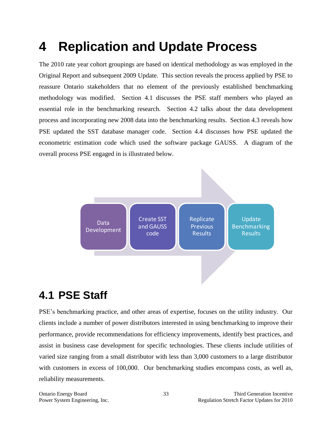# <span id="page-35-0"></span>**4 Replication and Update Process**

The 2010 rate year cohort groupings are based on identical methodology as was employed in the Original Report and subsequent 2009 Update. This section reveals the process applied by PSE to reassure Ontario stakeholders that no element of the previously established benchmarking methodology was modified. Section 4.1 discusses the PSE staff members who played an essential role in the benchmarking research. Section 4.2 talks about the data development process and incorporating new 2008 data into the benchmarking results. Section 4.3 reveals how PSE updated the SST database manager code. Section 4.4 discusses how PSE updated the econometric estimation code which used the software package GAUSS. A diagram of the overall process PSE engaged in is illustrated below.



# <span id="page-35-1"></span>**4.1 PSE Staff**

PSE's benchmarking practice, and other areas of expertise, focuses on the utility industry. Our clients include a number of power distributors interested in using benchmarking to improve their performance, provide recommendations for efficiency improvements, identify best practices, and assist in business case development for specific technologies. These clients include utilities of varied size ranging from a small distributor with less than 3,000 customers to a large distributor with customers in excess of 100,000. Our benchmarking studies encompass costs, as well as, reliability measurements.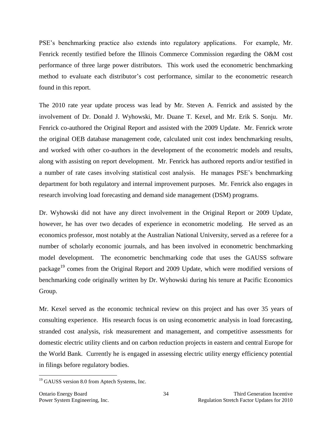PSE's benchmarking practice also extends into regulatory applications. For example, Mr. Fenrick recently testified before the Illinois Commerce Commission regarding the O&M cost performance of three large power distributors. This work used the econometric benchmarking method to evaluate each distributor's cost performance, similar to the econometric research found in this report.

The 2010 rate year update process was lead by Mr. Steven A. Fenrick and assisted by the involvement of Dr. Donald J. Wyhowski, Mr. Duane T. Kexel, and Mr. Erik S. Sonju. Mr. Fenrick co-authored the Original Report and assisted with the 2009 Update. Mr. Fenrick wrote the original OEB database management code, calculated unit cost index benchmarking results, and worked with other co-authors in the development of the econometric models and results, along with assisting on report development. Mr. Fenrick has authored reports and/or testified in a number of rate cases involving statistical cost analysis. He manages PSE's benchmarking department for both regulatory and internal improvement purposes. Mr. Fenrick also engages in research involving load forecasting and demand side management (DSM) programs.

Dr. Wyhowski did not have any direct involvement in the Original Report or 2009 Update, however, he has over two decades of experience in econometric modeling. He served as an economics professor, most notably at the Australian National University, served as a referee for a number of scholarly economic journals, and has been involved in econometric benchmarking model development. The econometric benchmarking code that uses the GAUSS software package<sup>19</sup> comes from the Original Report and 2009 Update, which were modified versions of benchmarking code originally written by Dr. Wyhowski during his tenure at Pacific Economics Group.

Mr. Kexel served as the economic technical review on this project and has over 35 years of consulting experience. His research focus is on using econometric analysis in load forecasting, stranded cost analysis, risk measurement and management, and competitive assessments for domestic electric utility clients and on carbon reduction projects in eastern and central Europe for the World Bank. Currently he is engaged in assessing electric utility energy efficiency potential in filings before regulatory bodies.

<sup>&</sup>lt;sup>19</sup> GAUSS version 8.0 from Aptech Systems, Inc.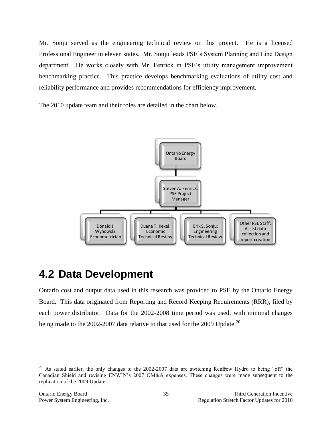Mr. Sonju served as the engineering technical review on this project. He is a licensed Professional Engineer in eleven states. Mr. Sonju leads PSE's System Planning and Line Design department. He works closely with Mr. Fenrick in PSE's utility management improvement benchmarking practice. This practice develops benchmarking evaluations of utility cost and reliability performance and provides recommendations for efficiency improvement.

The 2010 update team and their roles are detailed in the chart below.



## <span id="page-37-0"></span>**4.2 Data Development**

Ontario cost and output data used in this research was provided to PSE by the Ontario Energy Board. This data originated from Reporting and Record Keeping Requirements (RRR), filed by each power distributor. Data for the 2002-2008 time period was used, with minimal changes being made to the 2002-2007 data relative to that used for the 2009 Update.<sup>20</sup>

<sup>&</sup>lt;sup>20</sup> As stated earlier, the only changes to the 2002-2007 data are switching Renfrew Hydro to being "off" the Canadian Shield and revising ENWIN's 2007 OM&A expenses. These changes were made subsequent to the replication of the 2009 Update.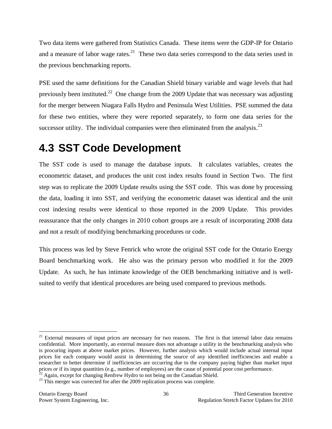Two data items were gathered from Statistics Canada. These items were the GDP-IP for Ontario and a measure of labor wage rates. $21$  These two data series correspond to the data series used in the previous benchmarking reports.

PSE used the same definitions for the Canadian Shield binary variable and wage levels that had previously been instituted.<sup>22</sup> One change from the 2009 Update that was necessary was adjusting for the merger between Niagara Falls Hydro and Peninsula West Utilities. PSE summed the data for these two entities, where they were reported separately, to form one data series for the successor utility. The individual companies were then eliminated from the analysis. $^{23}$ 

# <span id="page-38-0"></span>**4.3 SST Code Development**

The SST code is used to manage the database inputs. It calculates variables, creates the econometric dataset, and produces the unit cost index results found in Section Two. The first step was to replicate the 2009 Update results using the SST code. This was done by processing the data, loading it into SST, and verifying the econometric dataset was identical and the unit cost indexing results were identical to those reported in the 2009 Update. This provides reassurance that the only changes in 2010 cohort groups are a result of incorporating 2008 data and not a result of modifying benchmarking procedures or code.

This process was led by Steve Fenrick who wrote the original SST code for the Ontario Energy Board benchmarking work. He also was the primary person who modified it for the 2009 Update. As such, he has intimate knowledge of the OEB benchmarking initiative and is wellsuited to verify that identical procedures are being used compared to previous methods.

 $21$  External measures of input prices are necessary for two reasons. The first is that internal labor data remains confidential. More importantly, an external measure does not advantage a utility in the benchmarking analysis who is procuring inputs at above market prices. However, further analysis which would include actual internal input prices for each company would assist in determining the source of any identified inefficiencies and enable a researcher to better determine if inefficiencies are occurring due to the company paying higher than market input prices or if its input quantities (e.g., number of employees) are the cause of potential poor cost performance.

 $^{22}$  Again, except for changing Renfrew Hydro to not being on the Canadian Shield. <sup>23</sup> This merger was corrected for after the 2009 replication process was complete.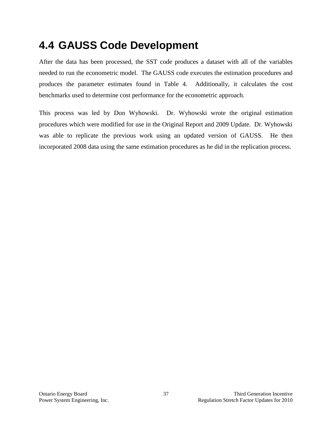# <span id="page-39-0"></span>**4.4 GAUSS Code Development**

After the data has been processed, the SST code produces a dataset with all of the variables needed to run the econometric model. The GAUSS code executes the estimation procedures and produces the parameter estimates found in Table 4. Additionally, it calculates the cost benchmarks used to determine cost performance for the econometric approach.

This process was led by Don Wyhowski. Dr. Wyhowski wrote the original estimation procedures which were modified for use in the Original Report and 2009 Update. Dr. Wyhowski was able to replicate the previous work using an updated version of GAUSS. He then incorporated 2008 data using the same estimation procedures as he did in the replication process.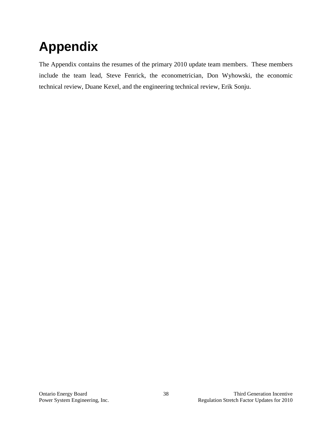# <span id="page-40-0"></span>**Appendix**

The Appendix contains the resumes of the primary 2010 update team members. These members include the team lead, Steve Fenrick, the econometrician, Don Wyhowski, the economic technical review, Duane Kexel, and the engineering technical review, Erik Sonju.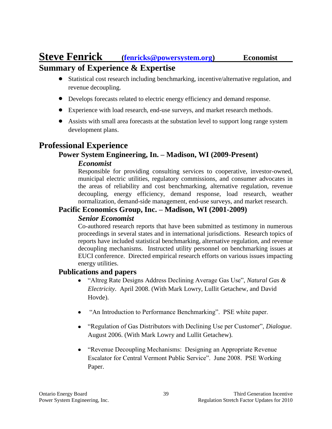## **Steve Fenrick [\(fenricks@powersystem.org\)](mailto:fenricks@powersystem.org) Economist Summary of Experience & Expertise**

- Statistical cost research including benchmarking, incentive/alternative regulation, and revenue decoupling.
- Develops forecasts related to electric energy efficiency and demand response.
- Experience with load research, end-use surveys, and market research methods.
- Assists with small area forecasts at the substation level to support long range system development plans.

### **Professional Experience**

### **Power System Engineering, In. – Madison, WI (2009-Present)**

### *Economist*

Responsible for providing consulting services to cooperative, investor-owned, municipal electric utilities, regulatory commissions, and consumer advocates in the areas of reliability and cost benchmarking, alternative regulation, revenue decoupling, energy efficiency, demand response, load research, weather normalization, demand-side management, end-use surveys, and market research.

### **Pacific Economics Group, Inc. – Madison, WI (2001-2009)**

### *Senior Economist*

Co-authored research reports that have been submitted as testimony in numerous proceedings in several states and in international jurisdictions. Research topics of reports have included statistical benchmarking, alternative regulation, and revenue decoupling mechanisms. Instructed utility personnel on benchmarking issues at EUCI conference. Directed empirical research efforts on various issues impacting energy utilities.

### **Publications and papers**

- "Altreg Rate Designs Address Declining Average Gas Use", *Natural Gas & Electricity*. April 2008. (With Mark Lowry, Lullit Getachew, and David Hovde).
- "An Introduction to Performance Benchmarking". PSE white paper.  $\bullet$
- "Regulation of Gas Distributors with Declining Use per Customer", *Dialogue*. August 2006. (With Mark Lowry and Lullit Getachew).
- "Revenue Decoupling Mechanisms: Designing an Appropriate Revenue Escalator for Central Vermont Public Service". June 2008. PSE Working Paper.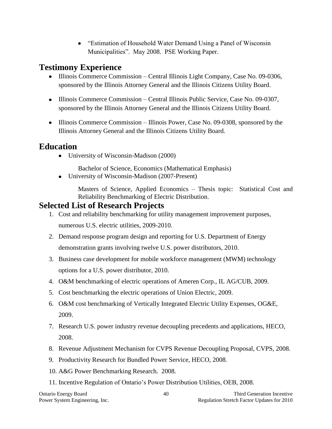• "Estimation of Household Water Demand Using a Panel of Wisconsin Municipalities". May 2008. PSE Working Paper.

### **Testimony Experience**

- Illinois Commerce Commission Central Illinois Light Company, Case No. 09-0306, sponsored by the Illinois Attorney General and the Illinois Citizens Utility Board.
- Illinois Commerce Commission Central Illinois Public Service, Case No. 09-0307, sponsored by the Illinois Attorney General and the Illinois Citizens Utility Board.
- Illinois Commerce Commission Illinois Power, Case No. 09-0308, sponsored by the Illinois Attorney General and the Illinois Citizens Utility Board.

### **Education**

University of Wisconsin-Madison (2000)

Bachelor of Science, Economics (Mathematical Emphasis)

University of Wisconsin-Madison (2007-Present)

Masters of Science, Applied Economics – Thesis topic: Statistical Cost and Reliability Benchmarking of Electric Distribution.

### **Selected List of Research Projects**

- 1. Cost and reliability benchmarking for utility management improvement purposes, numerous U.S. electric utilities, 2009-2010.
- 2. Demand response program design and reporting for U.S. Department of Energy demonstration grants involving twelve U.S. power distributors, 2010.
- 3. Business case development for mobile workforce management (MWM) technology options for a U.S. power distributor, 2010.
- 4. O&M benchmarking of electric operations of Ameren Corp., IL AG/CUB, 2009.
- 5. Cost benchmarking the electric operations of Union Electric, 2009.
- 6. O&M cost benchmarking of Vertically Integrated Electric Utility Expenses, OG&E, 2009.
- 7. Research U.S. power industry revenue decoupling precedents and applications, HECO, 2008.
- 8. Revenue Adjustment Mechanism for CVPS Revenue Decoupling Proposal, CVPS, 2008.
- 9. Productivity Research for Bundled Power Service, HECO, 2008.
- 10. A&G Power Benchmarking Research. 2008.
- 11. Incentive Regulation of Ontario's Power Distribution Utilities, OEB, 2008.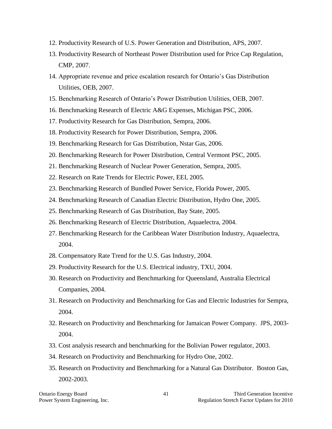- 12. Productivity Research of U.S. Power Generation and Distribution, APS, 2007.
- 13. Productivity Research of Northeast Power Distribution used for Price Cap Regulation, CMP, 2007.
- 14. Appropriate revenue and price escalation research for Ontario's Gas Distribution Utilities, OEB, 2007.
- 15. Benchmarking Research of Ontario's Power Distribution Utilities, OEB, 2007.
- 16. Benchmarking Research of Electric A&G Expenses, Michigan PSC, 2006.
- 17. Productivity Research for Gas Distribution, Sempra, 2006.
- 18. Productivity Research for Power Distribution, Sempra, 2006.
- 19. Benchmarking Research for Gas Distribution, Nstar Gas, 2006.
- 20. Benchmarking Research for Power Distribution, Central Vermont PSC, 2005.
- 21. Benchmarking Research of Nuclear Power Generation, Sempra, 2005.
- 22. Research on Rate Trends for Electric Power, EEI, 2005.
- 23. Benchmarking Research of Bundled Power Service, Florida Power, 2005.
- 24. Benchmarking Research of Canadian Electric Distribution, Hydro One, 2005.
- 25. Benchmarking Research of Gas Distribution, Bay State, 2005.
- 26. Benchmarking Research of Electric Distribution, Aquaelectra, 2004.
- 27. Benchmarking Research for the Caribbean Water Distribution Industry, Aquaelectra, 2004.
- 28. Compensatory Rate Trend for the U.S. Gas Industry, 2004.
- 29. Productivity Research for the U.S. Electrical industry, TXU, 2004.
- 30. Research on Productivity and Benchmarking for Queensland, Australia Electrical Companies, 2004.
- 31. Research on Productivity and Benchmarking for Gas and Electric Industries for Sempra, 2004.
- 32. Research on Productivity and Benchmarking for Jamaican Power Company. JPS, 2003- 2004.
- 33. Cost analysis research and benchmarking for the Bolivian Power regulator, 2003.
- 34. Research on Productivity and Benchmarking for Hydro One, 2002.
- 35. Research on Productivity and Benchmarking for a Natural Gas Distributor. Boston Gas, 2002-2003.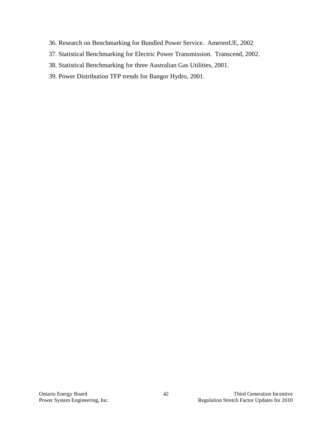- 36. Research on Benchmarking for Bundled Power Service. AmerenUE, 2002
- 37. Statistical Benchmarking for Electric Power Transmission. Transcend, 2002.
- 38. Statistical Benchmarking for three Australian Gas Utilities, 2001.
- 39. Power Distribution TFP trends for Bangor Hydro, 2001.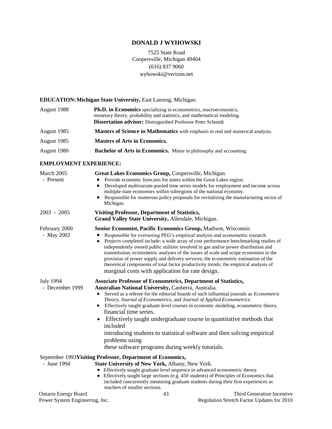### **DONALD J WYHOWSKI**

7525 State Road Coopersville, Michigan 49404 (616) 837 9060 wyhowski@verizon.net

### **EDUCATION:Michigan State University,** East Lansing, Michigan.

| August 1988 | <b>Ph.D. in Economics</b> specializing in econometrics, macroeconomics,<br>monetary theory, probability and statistics, and mathematical modeling.<br><b>Dissertation advisor:</b> Distinguished Professor Peter Schmidt |
|-------------|--------------------------------------------------------------------------------------------------------------------------------------------------------------------------------------------------------------------------|
| August 1985 | <b>Masters of Science in Mathematics</b> with emphasis in real and numerical analysis.                                                                                                                                   |
| August 1985 | <b>Masters of Arts in Economics.</b>                                                                                                                                                                                     |
| August 1980 | <b>Bachelor of Arts in Economics.</b> Minor in philosophy and accounting.                                                                                                                                                |
|             |                                                                                                                                                                                                                          |

#### **EMPLOYMENT EXPERIENCE:**

| March 2005<br>- Present                                       | Great Lakes Economics Group, Coopersville, Michigan.<br>Provide economic forecasts for states within the Great Lakes region.<br>Developed multivariate-pooled time series models for employment and income across<br>multiple state economies within subregions of the national economy.<br>Responsible for numerous policy proposals for revitalizing the manufacturing sector of<br>Michigan.                                                                                                                                                                                                                                                                                   |
|---------------------------------------------------------------|-----------------------------------------------------------------------------------------------------------------------------------------------------------------------------------------------------------------------------------------------------------------------------------------------------------------------------------------------------------------------------------------------------------------------------------------------------------------------------------------------------------------------------------------------------------------------------------------------------------------------------------------------------------------------------------|
| $2003 - 2005$                                                 | <b>Visiting Professor, Department of Statistics,</b><br>Grand Valley State University, Allendale, Michigan.                                                                                                                                                                                                                                                                                                                                                                                                                                                                                                                                                                       |
| February 2000<br>- May 2002                                   | Senior Economist, Pacific Economics Group, Madison, Wisconsin.<br>Responsible for overseeing PEG's empirical analysis and econometric research.<br>Projects completed include: a wide array of cost performance benchmarking studies of<br>independently owned public utilities involved in gas and/or power distribution and<br>transmission; econometric analyses of the issues of scale and scope economies in the<br>provision of power supply and delivery services; the econometric estimation of the<br>theoretical components of total factor productivity trends; the empirical analysis of<br>marginal costs with application for rate design.                          |
| <b>July 1994</b><br>- December 1999                           | <b>Associate Professor of Econometrics, Department of Statistics,</b><br>Australian National University, Canberra, Australia.<br>Served as a referee for the editorial boards of such influential journals as <i>Econometric</i><br>٠<br>Theory, Journal of Econometrics, and Journal of Applied Econometrics.<br>Effectively taught graduate level courses in economic modeling, econometric theory,<br>financial time series.<br>Effectively taught undergraduate course in quantitative methods that<br>$\bullet$<br>included<br>introducing students to statistical software and then solving empirical<br>problems using<br>these software programs during weekly tutorials. |
| - June 1994                                                   | September 1993 Visiting Professor, Department of Economics,<br>State University of New York, Albany, New York.<br>Effectively taught graduate level sequence in advanced econometric theory.<br>• Effectively taught large sections (e.g. 450 students) of Principles of Economics that<br>included concurrently mentoring graduate students during their first experiences as<br>teachers of smaller sections.                                                                                                                                                                                                                                                                   |
| <b>Ontario Energy Board</b><br>Power System Engineering, Inc. | 43<br>Third Generation Incentive<br>Regulation Stretch Factor Updates for 2010                                                                                                                                                                                                                                                                                                                                                                                                                                                                                                                                                                                                    |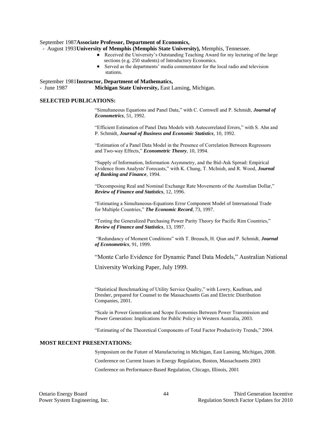#### September 1987**Associate Professor, Department of Economics,**

- August 1993**University of Memphis (Memphis State University),** Memphis, Tennessee.
	- Received the University's Outstanding Teaching Award for my lecturing of the large sections (e.g. 250 students) of Introductory Economics.
	- Served as the departments' media commentator for the local radio and television stations.

#### September 1981**Instructor, Department of Mathematics,**

- June 1987 **Michigan State University,** East Lansing, Michigan.

#### **SELECTED PUBLICATIONS:**

"Simultaneous Equations and Panel Data," with C. Cornwell and P. Schmidt, *Journal of Econometrics*, 51, 1992.

"Efficient Estimation of Panel Data Models with Autocorrelated Errors," with S. Ahn and P. Schmidt, *Journal of Business and Economic Statistics*, 10, 1992.

"Estimation of a Panel Data Model in the Presence of Correlation Between Regressors and Two-way Effects," *Econometric Theory*, 10, 1994.

"Supply of Information, Information Asymmetry, and the Bid-Ask Spread: Empirical Evidence from Analysts' Forecasts," with K. Chung, T. McInish, and R. Wood, *Journal of Banking and Finance*, 1994.

"Decomposing Real and Nominal Exchange Rate Movements of the Australian Dollar," *Review of Finance and Statistics*, 12, 1996.

"Estimating a Simultaneous-Equations Error Component Model of International Trade for Multiple Countries," *The Economic Record*, 73, 1997*.*

"Testing the Generalized Purchasing Power Parity Theory for Pacific Rim Countries," *Review of Finance and Statistics*, 13, 1997.

"Redundancy of Moment Conditions" with T. Breusch, H. Qian and P. Schmidt, *Journal of Econometrics*, 91, 1999.

"Monte Carlo Evidence for Dynamic Panel Data Models," Australian National

University Working Paper, July 1999.

"Statistical Benchmarking of Utility Service Quality," with Lowry, Kaufman, and Dresher, prepared for Counsel to the Massachusetts Gas and Electric Distribution Companies, 2001.

"Scale in Power Generation and Scope Economies Between Power Transmission and Power Generation: Implications for Public Policy in Western Australia, 2003.

"Estimating of the Theoretical Components of Total Factor Productivity Trends," 2004.

#### **MOST RECENT PRESENTATIONS:**

Symposium on the Future of Manufacturing in Michigan, East Lansing, Michigan, 2008. Conference on Current Issues in Energy Regulation, Boston, Massachusetts 2003 Conference on Performance-Based Regulation, Chicago, Illinois, 2001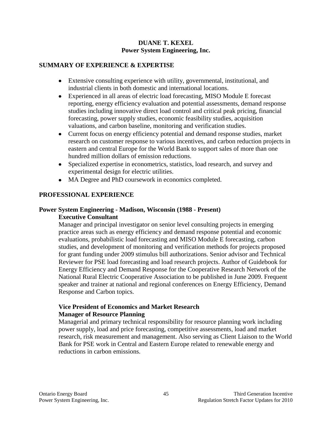### **DUANE T. KEXEL Power System Engineering, Inc.**

### **SUMMARY OF EXPERIENCE & EXPERTISE**

- Extensive consulting experience with utility, governmental, institutional, and industrial clients in both domestic and international locations.
- Experienced in all areas of electric load forecasting, MISO Module E forecast reporting, energy efficiency evaluation and potential assessments, demand response studies including innovative direct load control and critical peak pricing, financial forecasting, power supply studies, economic feasibility studies, acquisition valuations, and carbon baseline, monitoring and verification studies.
- Current focus on energy efficiency potential and demand response studies, market research on customer response to various incentives, and carbon reduction projects in eastern and central Europe for the World Bank to support sales of more than one hundred million dollars of emission reductions.
- Specialized expertise in econometrics, statistics, load research, and survey and experimental design for electric utilities.
- MA Degree and PhD coursework in economics completed.

### **PROFESSIONAL EXPERIENCE**

### **Power System Engineering - Madison, Wisconsin (1988 - Present) Executive Consultant**

Manager and principal investigator on senior level consulting projects in emerging practice areas such as energy efficiency and demand response potential and economic evaluations, probabilistic load forecasting and MISO Module E forecasting, carbon studies, and development of monitoring and verification methods for projects proposed for grant funding under 2009 stimulus bill authorizations. Senior advisor and Technical Reviewer for PSE load forecasting and load research projects. Author of Guidebook for Energy Efficiency and Demand Response for the Cooperative Research Network of the National Rural Electric Cooperative Association to be published in June 2009. Frequent speaker and trainer at national and regional conferences on Energy Efficiency, Demand Response and Carbon topics.

### **Vice President of Economics and Market Research Manager of Resource Planning**

Managerial and primary technical responsibility for resource planning work including power supply, load and price forecasting, competitive assessments, load and market research, risk measurement and management. Also serving as Client Liaison to the World Bank for PSE work in Central and Eastern Europe related to renewable energy and reductions in carbon emissions.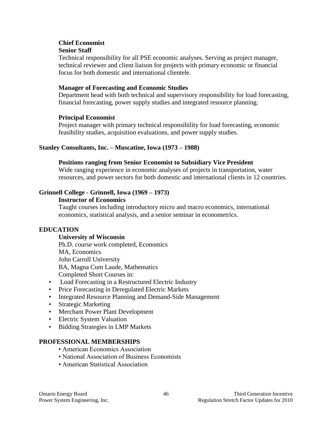#### **Chief Economist Senior Staff**

Technical responsibility for all PSE economic analyses. Serving as project manager, technical reviewer and client liaison for projects with primary economic or financial focus for both domestic and international clientele.

### **Manager of Forecasting and Economic Studies**

Department head with both technical and supervisory responsibility for load forecasting, financial forecasting, power supply studies and integrated resource planning.

### **Principal Economist**

Project manager with primary technical responsibility for load forecasting, economic feasibility studies, acquisition evaluations, and power supply studies.

### **Stanley Consultants, Inc. – Muscatine, Iowa (1973 – 1988)**

#### **Positions ranging from Senior Economist to Subsidiary Vice President**

Wide ranging experience in economic analyses of projects in transportation, water resources, and power sectors for both domestic and international clients in 12 countries.

### **Grinnell College - Grinnell, Iowa (1969 – 1973)**

#### **Instructor of Economics**

Taught courses including introductory micro and macro economics, international economics, statistical analysis, and a senior seminar in econometrics.

### **EDUCATION**

#### **University of Wisconsin**

Ph.D. course work completed, Economics MA, Economics John Carroll University BA, Magna Cum Laude, Mathematics Completed Short Courses in:

- Load Forecasting in a Restructured Electric Industry
- Price Forecasting in Deregulated Electric Markets
- Integrated Resource Planning and Demand-Side Management
- Strategic Marketing
- Merchant Power Plant Development
- Electric System Valuation
- Bidding Strategies in LMP Markets

### **PROFESSIONAL MEMBERSHIPS**

- American Economics Association
- National Association of Business Economists
- American Statistical Association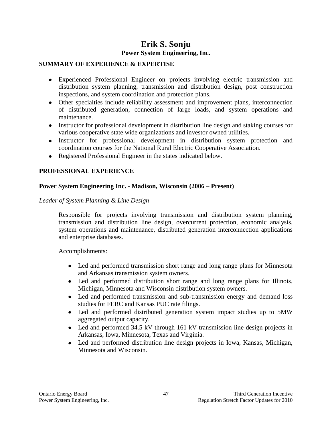### **Erik S. Sonju Power System Engineering, Inc.**

### **SUMMARY OF EXPERIENCE & EXPERTISE**

- Experienced Professional Engineer on projects involving electric transmission and distribution system planning, transmission and distribution design, post construction inspections, and system coordination and protection plans.
- Other specialties include reliability assessment and improvement plans, interconnection of distributed generation, connection of large loads, and system operations and maintenance.
- Instructor for professional development in distribution line design and staking courses for various cooperative state wide organizations and investor owned utilities.
- Instructor for professional development in distribution system protection and coordination courses for the National Rural Electric Cooperative Association.
- Registered Professional Engineer in the states indicated below.

### **PROFESSIONAL EXPERIENCE**

### **Power System Engineering Inc. - Madison, Wisconsin (2006 – Present)**

### *Leader of System Planning & Line Design*

Responsible for projects involving transmission and distribution system planning, transmission and distribution line design, overcurrent protection, economic analysis, system operations and maintenance, distributed generation interconnection applications and enterprise databases.

Accomplishments:

- Led and performed transmission short range and long range plans for Minnesota and Arkansas transmission system owners.
- Led and performed distribution short range and long range plans for Illinois, Michigan, Minnesota and Wisconsin distribution system owners.
- Led and performed transmission and sub-transmission energy and demand loss  $\bullet$ studies for FERC and Kansas PUC rate filings.
- Led and performed distributed generation system impact studies up to 5MW aggregated output capacity.
- Led and performed 34.5 kV through 161 kV transmission line design projects in Arkansas, Iowa, Minnesota, Texas and Virginia.
- Led and performed distribution line design projects in Iowa, Kansas, Michigan, Minnesota and Wisconsin.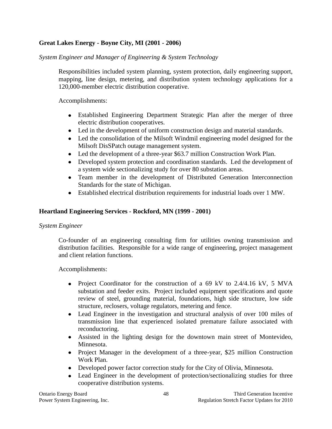### **Great Lakes Energy - Boyne City, MI (2001 - 2006)**

*System Engineer and Manager of Engineering & System Technology*

Responsibilities included system planning, system protection, daily engineering support, mapping, line design, metering, and distribution system technology applications for a 120,000-member electric distribution cooperative.

Accomplishments:

- Established Engineering Department Strategic Plan after the merger of three electric distribution cooperatives.
- Led in the development of uniform construction design and material standards.
- Led the consolidation of the Milsoft Windmil engineering model designed for the Milsoft DisSPatch outage management system.
- Led the development of a three-year \$63.7 million Construction Work Plan.
- Developed system protection and coordination standards. Led the development of a system wide sectionalizing study for over 80 substation areas.
- Team member in the development of Distributed Generation Interconnection Standards for the state of Michigan.
- Established electrical distribution requirements for industrial loads over 1 MW.

### **Heartland Engineering Services - Rockford, MN (1999 - 2001)**

#### *System Engineer*

Co-founder of an engineering consulting firm for utilities owning transmission and distribution facilities. Responsible for a wide range of engineering, project management and client relation functions.

Accomplishments:

- Project Coordinator for the construction of a 69 kV to  $2.4/4.16$  kV, 5 MVA substation and feeder exits. Project included equipment specifications and quote review of steel, grounding material, foundations, high side structure, low side structure, reclosers, voltage regulators, metering and fence.
- Lead Engineer in the investigation and structural analysis of over 100 miles of transmission line that experienced isolated premature failure associated with reconductoring.
- Assisted in the lighting design for the downtown main street of Montevideo, Minnesota.
- Project Manager in the development of a three-year, \$25 million Construction Work Plan.
- Developed power factor correction study for the City of Olivia, Minnesota.
- Lead Engineer in the development of protection/sectionalizing studies for three cooperative distribution systems.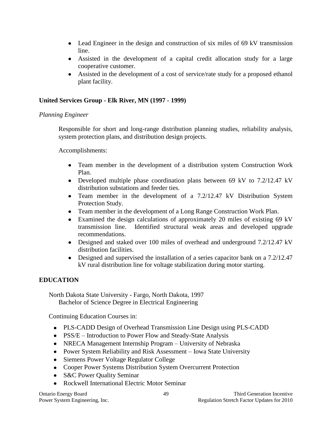- Lead Engineer in the design and construction of six miles of 69 kV transmission line.
- Assisted in the development of a capital credit allocation study for a large cooperative customer.
- Assisted in the development of a cost of service/rate study for a proposed ethanol plant facility.

### **United Services Group - Elk River, MN (1997 - 1999)**

### *Planning Engineer*

Responsible for short and long-range distribution planning studies, reliability analysis, system protection plans, and distribution design projects.

Accomplishments:

- Team member in the development of a distribution system Construction Work Plan.
- Developed multiple phase coordination plans between 69 kV to 7.2/12.47 kV distribution substations and feeder ties.
- Team member in the development of a 7.2/12.47 kV Distribution System Protection Study.
- Team member in the development of a Long Range Construction Work Plan.
- $\bullet$ Examined the design calculations of approximately 20 miles of existing 69 kV transmission line. Identified structural weak areas and developed upgrade recommendations.
- Designed and staked over 100 miles of overhead and underground 7.2/12.47 kV distribution facilities.
- Designed and supervised the installation of a series capacitor bank on a 7.2/12.47 kV rural distribution line for voltage stabilization during motor starting.

### **EDUCATION**

North Dakota State University - Fargo, North Dakota, 1997 Bachelor of Science Degree in Electrical Engineering

Continuing Education Courses in:

- PLS-CADD Design of Overhead Transmission Line Design using PLS-CADD
- PSS/E Introduction to Power Flow and Steady-State Analysis
- NRECA Management Internship Program University of Nebraska
- Power System Reliability and Risk Assessment Iowa State University
- Siemens Power Voltage Regulator College
- Cooper Power Systems Distribution System Overcurrent Protection
- S&C Power Quality Seminar
- Rockwell International Electric Motor Seminar